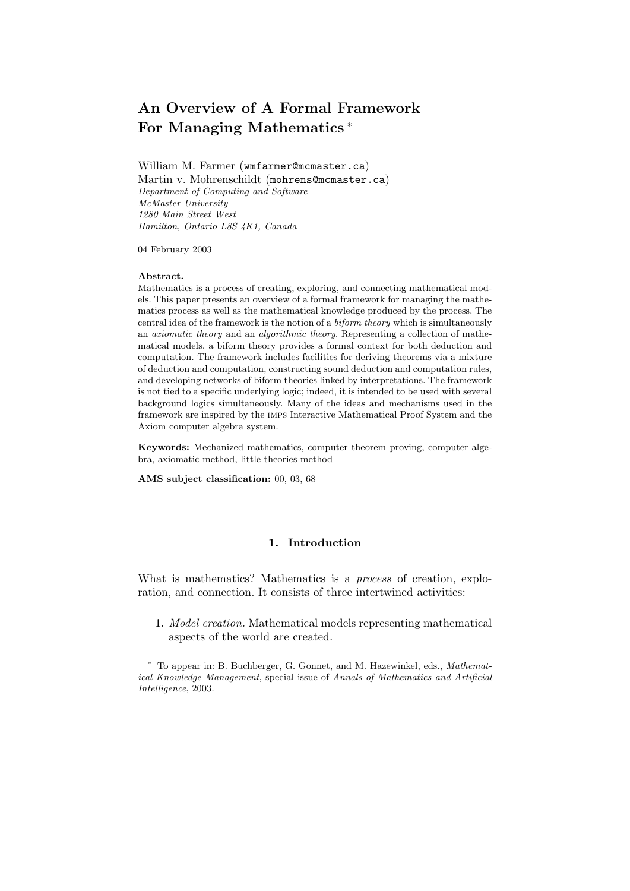# An Overview of A Formal Framework For Managing Mathematics <sup>∗</sup>

William M. Farmer (wmfarmer@mcmaster.ca) Martin v. Mohrenschildt (mohrens@mcmaster.ca) Department of Computing and Software McMaster University 1280 Main Street West Hamilton, Ontario L8S 4K1, Canada

04 February 2003

### Abstract.

Mathematics is a process of creating, exploring, and connecting mathematical models. This paper presents an overview of a formal framework for managing the mathematics process as well as the mathematical knowledge produced by the process. The central idea of the framework is the notion of a biform theory which is simultaneously an axiomatic theory and an algorithmic theory. Representing a collection of mathematical models, a biform theory provides a formal context for both deduction and computation. The framework includes facilities for deriving theorems via a mixture of deduction and computation, constructing sound deduction and computation rules, and developing networks of biform theories linked by interpretations. The framework is not tied to a specific underlying logic; indeed, it is intended to be used with several background logics simultaneously. Many of the ideas and mechanisms used in the framework are inspired by the imps Interactive Mathematical Proof System and the Axiom computer algebra system.

Keywords: Mechanized mathematics, computer theorem proving, computer algebra, axiomatic method, little theories method

AMS subject classification: 00, 03, 68

# 1. Introduction

What is mathematics? Mathematics is a *process* of creation, exploration, and connection. It consists of three intertwined activities:

1. Model creation. Mathematical models representing mathematical aspects of the world are created.

<sup>∗</sup> To appear in: B. Buchberger, G. Gonnet, and M. Hazewinkel, eds., Mathematical Knowledge Management, special issue of Annals of Mathematics and Artificial Intelligence, 2003.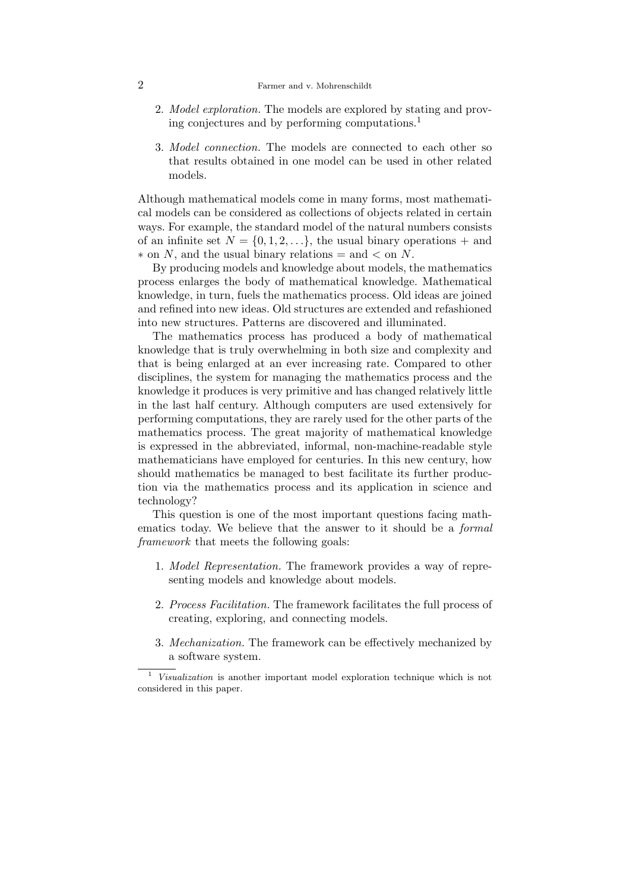# 2 Farmer and v. Mohrenschildt

- 2. Model exploration. The models are explored by stating and proving conjectures and by performing computations.<sup>1</sup>
- 3. Model connection. The models are connected to each other so that results obtained in one model can be used in other related models.

Although mathematical models come in many forms, most mathematical models can be considered as collections of objects related in certain ways. For example, the standard model of the natural numbers consists of an infinite set  $N = \{0, 1, 2, \ldots\}$ , the usual binary operations + and  $*$  on N, and the usual binary relations = and  $<$  on N.

By producing models and knowledge about models, the mathematics process enlarges the body of mathematical knowledge. Mathematical knowledge, in turn, fuels the mathematics process. Old ideas are joined and refined into new ideas. Old structures are extended and refashioned into new structures. Patterns are discovered and illuminated.

The mathematics process has produced a body of mathematical knowledge that is truly overwhelming in both size and complexity and that is being enlarged at an ever increasing rate. Compared to other disciplines, the system for managing the mathematics process and the knowledge it produces is very primitive and has changed relatively little in the last half century. Although computers are used extensively for performing computations, they are rarely used for the other parts of the mathematics process. The great majority of mathematical knowledge is expressed in the abbreviated, informal, non-machine-readable style mathematicians have employed for centuries. In this new century, how should mathematics be managed to best facilitate its further production via the mathematics process and its application in science and technology?

This question is one of the most important questions facing mathematics today. We believe that the answer to it should be a formal framework that meets the following goals:

- 1. Model Representation. The framework provides a way of representing models and knowledge about models.
- 2. Process Facilitation. The framework facilitates the full process of creating, exploring, and connecting models.
- 3. Mechanization. The framework can be effectively mechanized by a software system.

Visualization is another important model exploration technique which is not considered in this paper.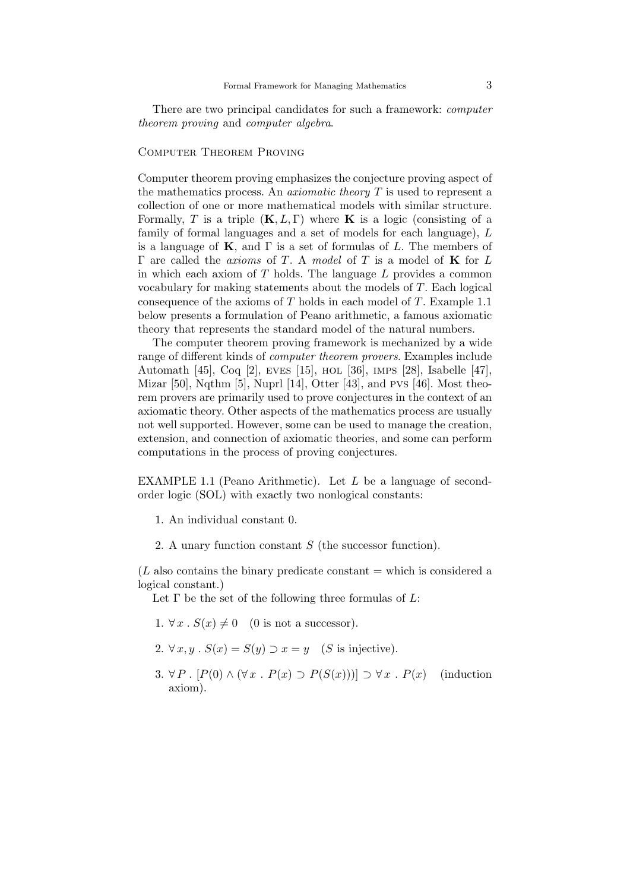There are two principal candidates for such a framework: computer theorem proving and computer algebra.

# Computer Theorem Proving

Computer theorem proving emphasizes the conjecture proving aspect of the mathematics process. An *axiomatic theory*  $T$  is used to represent a collection of one or more mathematical models with similar structure. Formally, T is a triple  $(K, L, \Gamma)$  where K is a logic (consisting of a family of formal languages and a set of models for each language), L is a language of  $\mathbf{K}$ , and  $\Gamma$  is a set of formulas of L. The members of  $\Gamma$  are called the *axioms* of T. A *model* of T is a model of **K** for L in which each axiom of  $T$  holds. The language  $L$  provides a common vocabulary for making statements about the models of T. Each logical consequence of the axioms of T holds in each model of T. Example 1.1 below presents a formulation of Peano arithmetic, a famous axiomatic theory that represents the standard model of the natural numbers.

The computer theorem proving framework is mechanized by a wide range of different kinds of computer theorem provers. Examples include Automath [45], Coq [2], eves [15], hol [36], imps [28], Isabelle [47], Mizar [50], Nqthm [5], Nuprl [14], Otter [43], and pvs [46]. Most theorem provers are primarily used to prove conjectures in the context of an axiomatic theory. Other aspects of the mathematics process are usually not well supported. However, some can be used to manage the creation, extension, and connection of axiomatic theories, and some can perform computations in the process of proving conjectures.

EXAMPLE 1.1 (Peano Arithmetic). Let L be a language of secondorder logic (SOL) with exactly two nonlogical constants:

- 1. An individual constant 0.
- 2. A unary function constant S (the successor function).

 $(L$  also contains the binary predicate constant  $=$  which is considered a logical constant.)

Let  $\Gamma$  be the set of the following three formulas of L:

- 1.  $\forall x \cdot S(x) \neq 0$  (0 is not a successor).
- 2.  $\forall x, y \cdot S(x) = S(y) \supset x = y$  (S is injective).
- 3.  $\forall P \cdot [P(0) \wedge (\forall x \cdot P(x) \supset P(S(x))] \supset \forall x \cdot P(x)$  (induction axiom).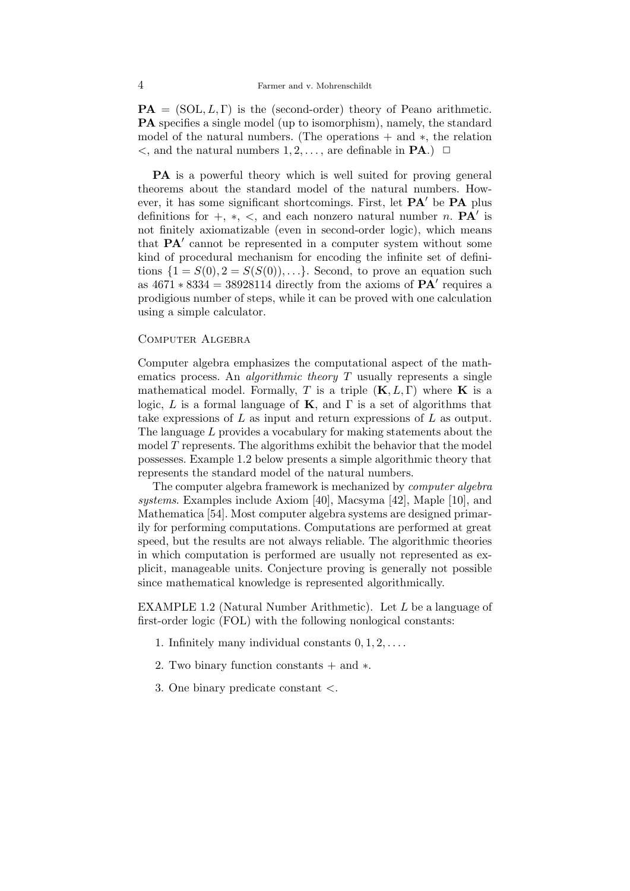$\mathbf{PA} = (\text{SOL}, L, \Gamma)$  is the (second-order) theory of Peano arithmetic. PA specifies a single model (up to isomorphism), namely, the standard model of the natural numbers. (The operations  $+$  and  $*$ , the relation  $\leq$ , and the natural numbers  $1, 2, \ldots$ , are definable in **PA**.)  $\Box$ 

PA is a powerful theory which is well suited for proving general theorems about the standard model of the natural numbers. However, it has some significant shortcomings. First, let  $PA'$  be  $PA$  plus definitions for  $+, * , <$ , and each nonzero natural number *n*.  $\mathbf{PA}'$  is not finitely axiomatizable (even in second-order logic), which means that  $\mathbf{PA}'$  cannot be represented in a computer system without some kind of procedural mechanism for encoding the infinite set of definitions  $\{1 = S(0), 2 = S(S(0)), \ldots\}$ . Second, to prove an equation such as  $4671 * 8334 = 38928114$  directly from the axioms of  $\overrightarrow{PA}$  requires a prodigious number of steps, while it can be proved with one calculation using a simple calculator.

### Computer Algebra

Computer algebra emphasizes the computational aspect of the mathematics process. An *algorithmic theory T* usually represents a single mathematical model. Formally, T is a triple  $(K, L, \Gamma)$  where K is a logic, L is a formal language of **K**, and  $\Gamma$  is a set of algorithms that take expressions of L as input and return expressions of L as output. The language L provides a vocabulary for making statements about the model  $T$  represents. The algorithms exhibit the behavior that the model possesses. Example 1.2 below presents a simple algorithmic theory that represents the standard model of the natural numbers.

The computer algebra framework is mechanized by computer algebra systems. Examples include Axiom [40], Macsyma [42], Maple [10], and Mathematica [54]. Most computer algebra systems are designed primarily for performing computations. Computations are performed at great speed, but the results are not always reliable. The algorithmic theories in which computation is performed are usually not represented as explicit, manageable units. Conjecture proving is generally not possible since mathematical knowledge is represented algorithmically.

EXAMPLE 1.2 (Natural Number Arithmetic). Let L be a language of first-order logic (FOL) with the following nonlogical constants:

- 1. Infinitely many individual constants  $0, 1, 2, \ldots$ .
- 2. Two binary function constants + and ∗.
- 3. One binary predicate constant <.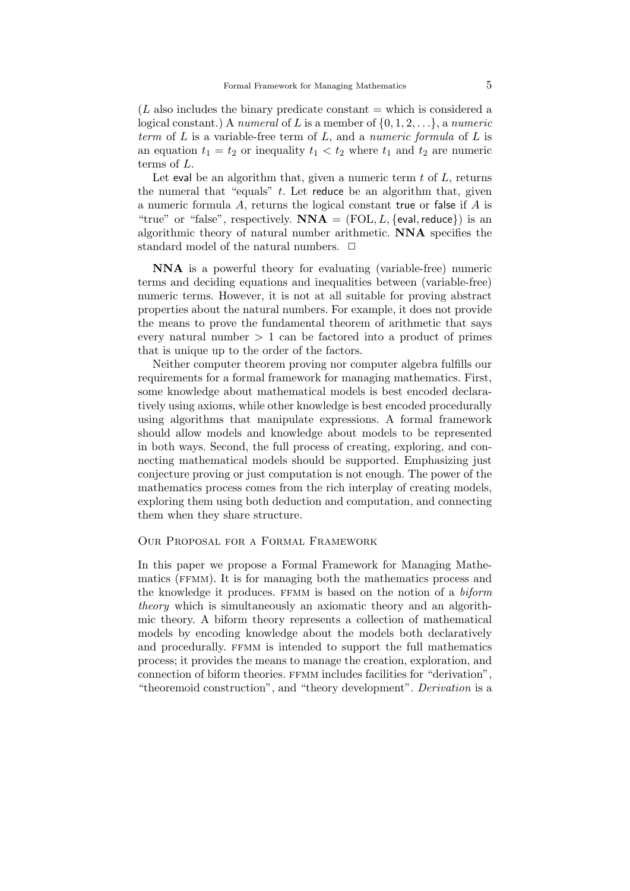$(L$  also includes the binary predicate constant  $=$  which is considered a logical constant.) A numeral of L is a member of  $\{0, 1, 2, \ldots\}$ , a numeric term of  $L$  is a variable-free term of  $L$ , and a numeric formula of  $L$  is an equation  $t_1 = t_2$  or inequality  $t_1 < t_2$  where  $t_1$  and  $t_2$  are numeric terms of L.

Let eval be an algorithm that, given a numeric term  $t$  of  $L$ , returns the numeral that "equals"  $t$ . Let reduce be an algorithm that, given a numeric formula  $A$ , returns the logical constant true or false if  $A$  is "true" or "false", respectively.  $NNA = (FOL, L, \{eval, reduce\})$  is an algorithmic theory of natural number arithmetic. NNA specifies the standard model of the natural numbers.  $\Box$ 

NNA is a powerful theory for evaluating (variable-free) numeric terms and deciding equations and inequalities between (variable-free) numeric terms. However, it is not at all suitable for proving abstract properties about the natural numbers. For example, it does not provide the means to prove the fundamental theorem of arithmetic that says every natural number  $> 1$  can be factored into a product of primes that is unique up to the order of the factors.

Neither computer theorem proving nor computer algebra fulfills our requirements for a formal framework for managing mathematics. First, some knowledge about mathematical models is best encoded declaratively using axioms, while other knowledge is best encoded procedurally using algorithms that manipulate expressions. A formal framework should allow models and knowledge about models to be represented in both ways. Second, the full process of creating, exploring, and connecting mathematical models should be supported. Emphasizing just conjecture proving or just computation is not enough. The power of the mathematics process comes from the rich interplay of creating models, exploring them using both deduction and computation, and connecting them when they share structure.

# Our Proposal for a Formal Framework

In this paper we propose a Formal Framework for Managing Mathematics (ffmm). It is for managing both the mathematics process and the knowledge it produces. FFMM is based on the notion of a *biform* theory which is simultaneously an axiomatic theory and an algorithmic theory. A biform theory represents a collection of mathematical models by encoding knowledge about the models both declaratively and procedurally. FFMM is intended to support the full mathematics process; it provides the means to manage the creation, exploration, and connection of biform theories. FFMM includes facilities for "derivation", "theoremoid construction", and "theory development". Derivation is a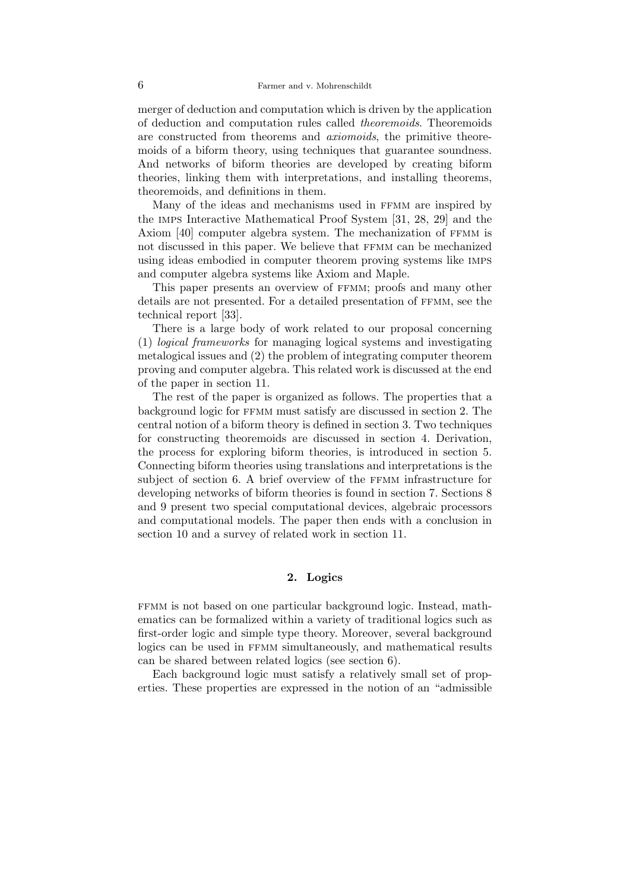merger of deduction and computation which is driven by the application of deduction and computation rules called theoremoids. Theoremoids are constructed from theorems and axiomoids, the primitive theoremoids of a biform theory, using techniques that guarantee soundness. And networks of biform theories are developed by creating biform theories, linking them with interpretations, and installing theorems, theoremoids, and definitions in them.

Many of the ideas and mechanisms used in FFMM are inspired by the imps Interactive Mathematical Proof System [31, 28, 29] and the Axiom [40] computer algebra system. The mechanization of FFMM is not discussed in this paper. We believe that  $FFMM$  can be mechanized using ideas embodied in computer theorem proving systems like imps and computer algebra systems like Axiom and Maple.

This paper presents an overview of FFMM; proofs and many other details are not presented. For a detailed presentation of FFMM, see the technical report [33].

There is a large body of work related to our proposal concerning (1) logical frameworks for managing logical systems and investigating metalogical issues and (2) the problem of integrating computer theorem proving and computer algebra. This related work is discussed at the end of the paper in section 11.

The rest of the paper is organized as follows. The properties that a background logic for ffmm must satisfy are discussed in section 2. The central notion of a biform theory is defined in section 3. Two techniques for constructing theoremoids are discussed in section 4. Derivation, the process for exploring biform theories, is introduced in section 5. Connecting biform theories using translations and interpretations is the subject of section 6. A brief overview of the FFMM infrastructure for developing networks of biform theories is found in section 7. Sections 8 and 9 present two special computational devices, algebraic processors and computational models. The paper then ends with a conclusion in section 10 and a survey of related work in section 11.

# 2. Logics

FFMM is not based on one particular background logic. Instead, mathematics can be formalized within a variety of traditional logics such as first-order logic and simple type theory. Moreover, several background logics can be used in FFMM simultaneously, and mathematical results can be shared between related logics (see section 6).

Each background logic must satisfy a relatively small set of properties. These properties are expressed in the notion of an "admissible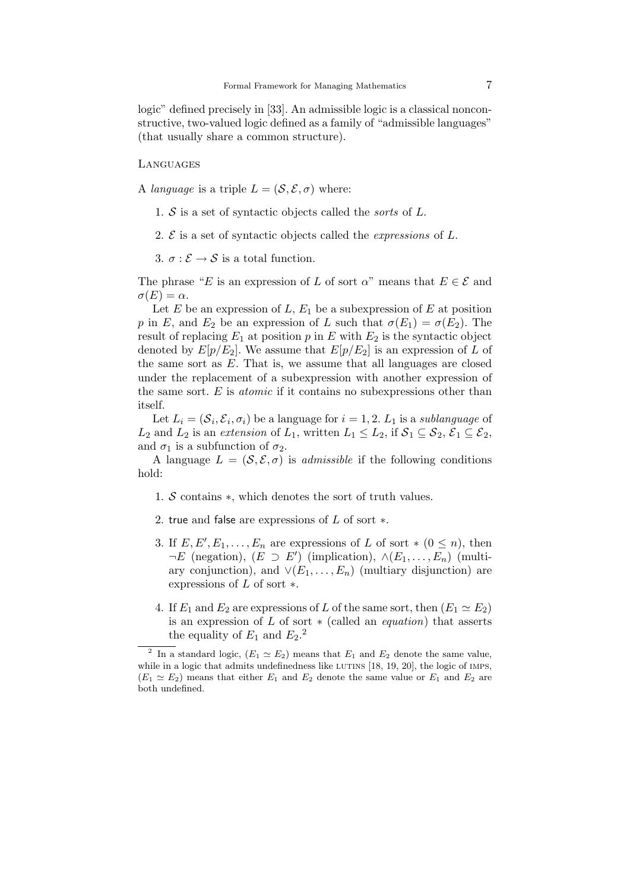logic" defined precisely in [33]. An admissible logic is a classical nonconstructive, two-valued logic defined as a family of "admissible languages" (that usually share a common structure).

#### **LANGUAGES**

A *language* is a triple  $L = (\mathcal{S}, \mathcal{E}, \sigma)$  where:

- 1.  $S$  is a set of syntactic objects called the *sorts* of  $L$ .
- 2.  $\mathcal{E}$  is a set of syntactic objects called the *expressions* of  $L$ .
- 3.  $\sigma : \mathcal{E} \to \mathcal{S}$  is a total function.

The phrase "E is an expression of L of sort  $\alpha$ " means that  $E \in \mathcal{E}$  and  $\sigma(E) = \alpha$ .

Let  $E$  be an expression of  $L, E_1$  be a subexpression of  $E$  at position p in E, and  $E_2$  be an expression of L such that  $\sigma(E_1) = \sigma(E_2)$ . The result of replacing  $E_1$  at position p in E with  $E_2$  is the syntactic object denoted by  $E[p/E_2]$ . We assume that  $E[p/E_2]$  is an expression of L of the same sort as  $E$ . That is, we assume that all languages are closed under the replacement of a subexpression with another expression of the same sort. E is *atomic* if it contains no subexpressions other than itself.

Let  $L_i = (\mathcal{S}_i, \mathcal{E}_i, \sigma_i)$  be a language for  $i = 1, 2$ .  $L_1$  is a sublanguage of  $L_2$  and  $L_2$  is an extension of  $L_1$ , written  $L_1 \leq L_2$ , if  $S_1 \subseteq S_2$ ,  $\mathcal{E}_1 \subseteq \mathcal{E}_2$ , and  $\sigma_1$  is a subfunction of  $\sigma_2$ .

A language  $L = (\mathcal{S}, \mathcal{E}, \sigma)$  is *admissible* if the following conditions hold:

- 1.  $S$  contains  $*$ , which denotes the sort of truth values.
- 2. true and false are expressions of L of sort ∗.
- 3. If  $E, E', E_1, \ldots, E_n$  are expressions of L of sort  $*$   $(0 \leq n)$ , then  $\neg E$  (negation),  $(E \supset E')$  (implication),  $\wedge (E_1, \ldots, E_n)$  (multiary conjunction), and  $\vee(E_1, \ldots, E_n)$  (multiary disjunction) are expressions of L of sort ∗.
- 4. If  $E_1$  and  $E_2$  are expressions of L of the same sort, then  $(E_1 \simeq E_2)$ is an expression of  $L$  of sort  $*$  (called an *equation*) that asserts the equality of  $E_1$  and  $E_2$ <sup>2</sup>.

<sup>&</sup>lt;sup>2</sup> In a standard logic,  $(E_1 \simeq E_2)$  means that  $E_1$  and  $E_2$  denote the same value, while in a logic that admits undefinedness like LUTINS  $[18, 19, 20]$ , the logic of IMPS.  $(E_1 \simeq E_2)$  means that either  $E_1$  and  $E_2$  denote the same value or  $E_1$  and  $E_2$  are both undefined.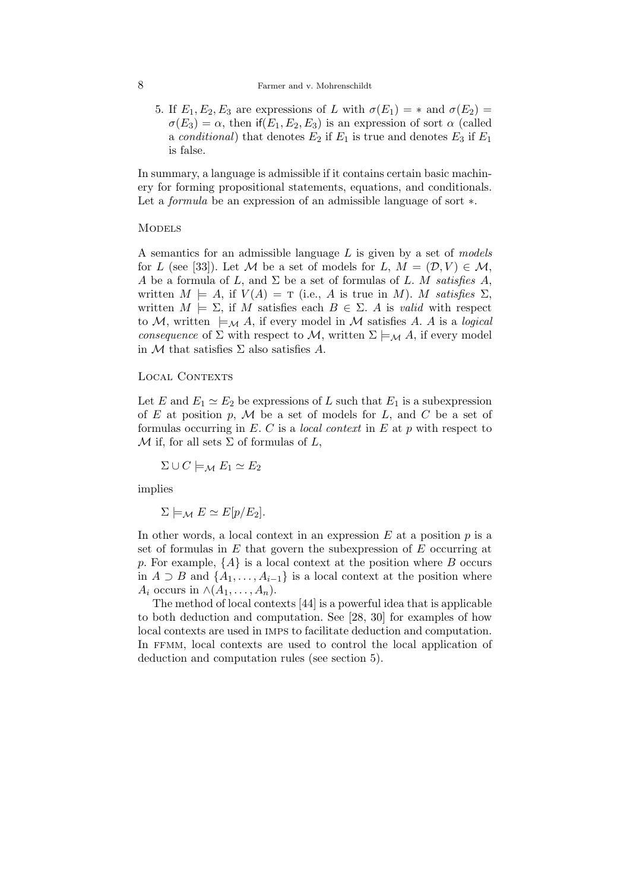# 8 Farmer and v. Mohrenschildt

5. If  $E_1, E_2, E_3$  are expressions of L with  $\sigma(E_1) = *$  and  $\sigma(E_2) =$  $\sigma(E_3) = \alpha$ , then if  $(E_1, E_2, E_3)$  is an expression of sort  $\alpha$  (called a conditional) that denotes  $E_2$  if  $E_1$  is true and denotes  $E_3$  if  $E_1$ is false.

In summary, a language is admissible if it contains certain basic machinery for forming propositional statements, equations, and conditionals. Let a formula be an expression of an admissible language of sort ∗.

### **MODELS**

A semantics for an admissible language L is given by a set of models for L (see [33]). Let M be a set of models for L,  $M = (\mathcal{D}, V) \in \mathcal{M}$ , A be a formula of L, and  $\Sigma$  be a set of formulas of L. M satisfies A, written  $M \models A$ , if  $V(A) = T$  (i.e., A is true in M). M satisfies  $\Sigma$ , written  $M \models \Sigma$ , if M satisfies each  $B \in \Sigma$ . A is valid with respect to M, written  $\models_{\mathcal{M}} A$ , if every model in M satisfies A. A is a logical *consequence* of  $\Sigma$  with respect to M, written  $\Sigma \models_M A$ , if every model in M that satisfies  $\Sigma$  also satisfies A.

# LOCAL CONTEXTS

Let E and  $E_1 \simeq E_2$  be expressions of L such that  $E_1$  is a subexpression of E at position  $p$ , M be a set of models for L, and C be a set of formulas occurring in  $E. C$  is a *local context* in  $E$  at  $p$  with respect to  $\mathcal M$  if, for all sets  $\Sigma$  of formulas of L,

 $\Sigma \cup C \models_{\mathcal{M}} E_1 \simeq E_2$ 

implies

$$
\Sigma \models_{\mathcal{M}} E \simeq E[p/E_2].
$$

In other words, a local context in an expression  $E$  at a position  $p$  is a set of formulas in  $E$  that govern the subexpression of  $E$  occurring at p. For example,  ${A}$  is a local context at the position where B occurs in  $A \supset B$  and  $\{A_1, \ldots, A_{i-1}\}\$ is a local context at the position where  $A_i$  occurs in  $\wedge (A_1, \ldots, A_n)$ .

The method of local contexts [44] is a powerful idea that is applicable to both deduction and computation. See [28, 30] for examples of how local contexts are used in imps to facilitate deduction and computation. In FFMM, local contexts are used to control the local application of deduction and computation rules (see section 5).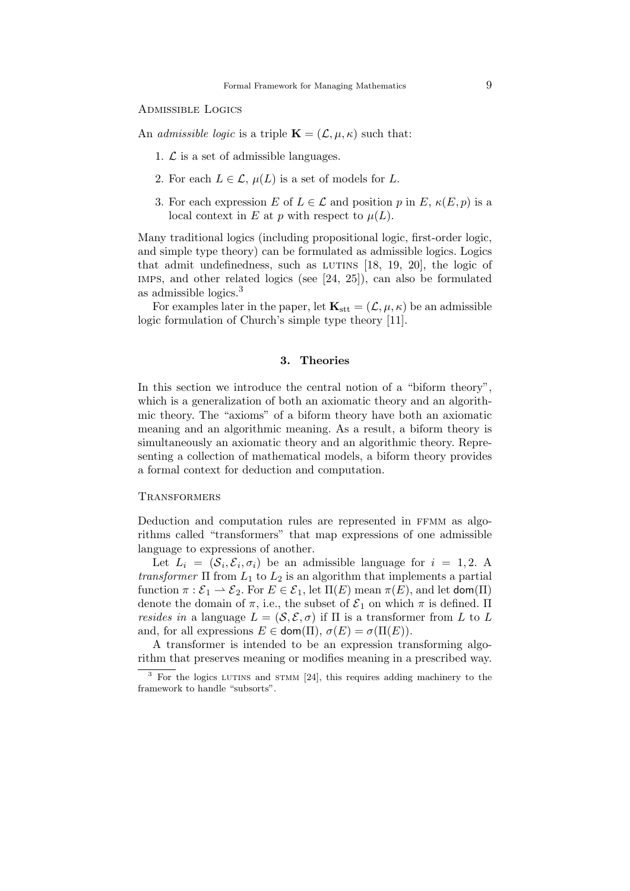# Admissible Logics

An *admissible logic* is a triple  $\mathbf{K} = (\mathcal{L}, \mu, \kappa)$  such that:

- 1.  $\mathcal{L}$  is a set of admissible languages.
- 2. For each  $L \in \mathcal{L}$ ,  $\mu(L)$  is a set of models for L.
- 3. For each expression E of  $L \in \mathcal{L}$  and position p in E,  $\kappa(E, p)$  is a local context in E at p with respect to  $\mu(L)$ .

Many traditional logics (including propositional logic, first-order logic, and simple type theory) can be formulated as admissible logics. Logics that admit undefinedness, such as LUTINS  $[18, 19, 20]$ , the logic of imps, and other related logics (see [24, 25]), can also be formulated as admissible logics.<sup>3</sup>

For examples later in the paper, let  $\mathbf{K}_{\text{stt}} = (\mathcal{L}, \mu, \kappa)$  be an admissible logic formulation of Church's simple type theory [11].

# 3. Theories

In this section we introduce the central notion of a "biform theory", which is a generalization of both an axiomatic theory and an algorithmic theory. The "axioms" of a biform theory have both an axiomatic meaning and an algorithmic meaning. As a result, a biform theory is simultaneously an axiomatic theory and an algorithmic theory. Representing a collection of mathematical models, a biform theory provides a formal context for deduction and computation.

# **TRANSFORMERS**

Deduction and computation rules are represented in FFMM as algorithms called "transformers" that map expressions of one admissible language to expressions of another.

Let  $L_i = (\mathcal{S}_i, \mathcal{E}_i, \sigma_i)$  be an admissible language for  $i = 1, 2$ . transformer  $\Pi$  from  $L_1$  to  $L_2$  is an algorithm that implements a partial function  $\pi : \mathcal{E}_1 \to \mathcal{E}_2$ . For  $E \in \mathcal{E}_1$ , let  $\Pi(E)$  mean  $\pi(E)$ , and let dom( $\Pi$ ) denote the domain of  $\pi$ , i.e., the subset of  $\mathcal{E}_1$  on which  $\pi$  is defined.  $\Pi$ resides in a language  $L = (\mathcal{S}, \mathcal{E}, \sigma)$  if  $\Pi$  is a transformer from L to L and, for all expressions  $E \in \text{dom}(\Pi)$ ,  $\sigma(E) = \sigma(\Pi(E))$ .

A transformer is intended to be an expression transforming algorithm that preserves meaning or modifies meaning in a prescribed way.

<sup>&</sup>lt;sup>3</sup> For the logics LUTINS and STMM [24], this requires adding machinery to the framework to handle "subsorts".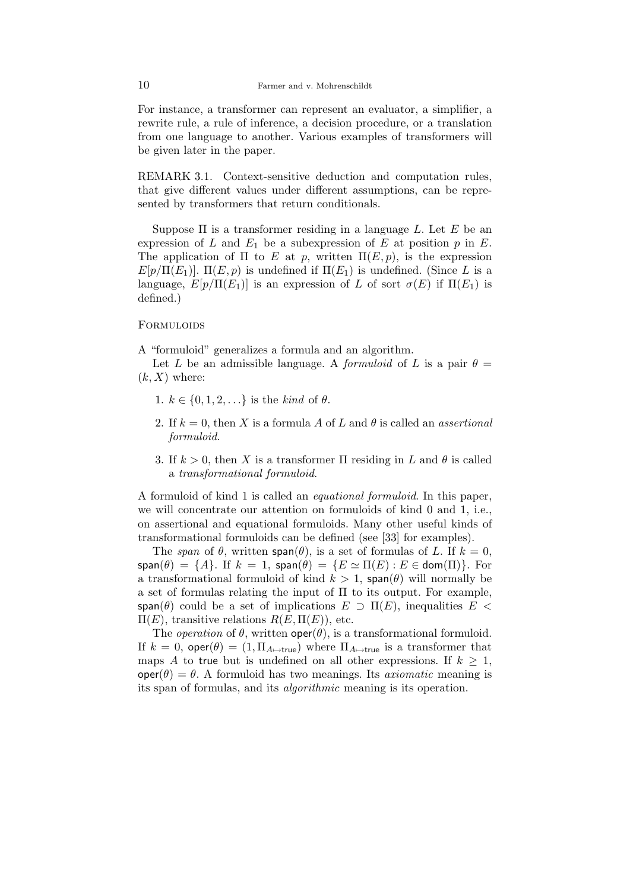For instance, a transformer can represent an evaluator, a simplifier, a rewrite rule, a rule of inference, a decision procedure, or a translation from one language to another. Various examples of transformers will be given later in the paper.

REMARK 3.1. Context-sensitive deduction and computation rules, that give different values under different assumptions, can be represented by transformers that return conditionals.

Suppose  $\Pi$  is a transformer residing in a language L. Let E be an expression of L and  $E_1$  be a subexpression of E at position p in E. The application of  $\Pi$  to E at p, written  $\Pi(E, p)$ , is the expression  $E[p/\Pi(E_1)]$ .  $\Pi(E, p)$  is undefined if  $\Pi(E_1)$  is undefined. (Since L is a language,  $E[p/\Pi(E_1)]$  is an expression of L of sort  $\sigma(E)$  if  $\Pi(E_1)$  is defined.)

#### **FORMULOIDS**

A "formuloid" generalizes a formula and an algorithm.

Let L be an admissible language. A *formuloid* of L is a pair  $\theta =$  $(k, X)$  where:

- 1.  $k \in \{0, 1, 2, \ldots\}$  is the kind of  $\theta$ .
- 2. If  $k = 0$ , then X is a formula A of L and  $\theta$  is called an *assertional* formuloid.
- 3. If  $k > 0$ , then X is a transformer  $\Pi$  residing in L and  $\theta$  is called a transformational formuloid.

A formuloid of kind 1 is called an equational formuloid. In this paper, we will concentrate our attention on formuloids of kind 0 and 1, i.e., on assertional and equational formuloids. Many other useful kinds of transformational formuloids can be defined (see [33] for examples).

The span of  $\theta$ , written span( $\theta$ ), is a set of formulas of L. If  $k = 0$ ,  $span(\theta) = \{A\}.$  If  $k = 1$ ,  $span(\theta) = \{E \simeq \Pi(E) : E \in dom(\Pi)\}.$  For a transformational formuloid of kind  $k > 1$ , span $(\theta)$  will normally be a set of formulas relating the input of  $\Pi$  to its output. For example, span( $\theta$ ) could be a set of implications  $E \supset \Pi(E)$ , inequalities  $E <$  $\Pi(E)$ , transitive relations  $R(E, \Pi(E))$ , etc.

The *operation* of  $\theta$ , written **oper** $(\theta)$ , is a transformational formuloid. If  $k = 0$ , oper $(\theta) = (1, \Pi_{A \mapsto true})$  where  $\Pi_{A \mapsto true}$  is a transformer that maps A to true but is undefined on all other expressions. If  $k \geq 1$ ,  $\text{oper}(\theta) = \theta$ . A formuloid has two meanings. Its *axiomatic* meaning is its span of formulas, and its algorithmic meaning is its operation.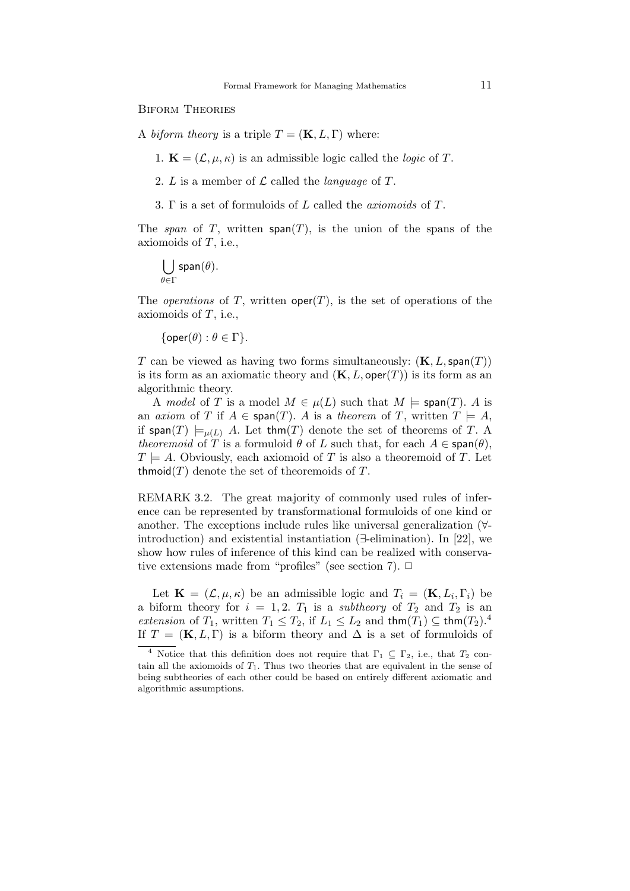Biform Theories

- A *biform theory* is a triple  $T = (\mathbf{K}, L, \Gamma)$  where:
	- 1.  $\mathbf{K} = (\mathcal{L}, \mu, \kappa)$  is an admissible logic called the *logic* of T.
	- 2. L is a member of  $\mathcal L$  called the *language* of T.
	- 3. Γ is a set of formuloids of L called the axiomoids of T.

The span of T, written span(T), is the union of the spans of the axiomoids of  $T$ , i.e.,

$$
\bigcup_{\theta \in \Gamma} \mathsf{span}(\theta).
$$

The *operations* of T, written  $\mathsf{oper}(T)$ , is the set of operations of the axiomoids of T, i.e.,

 $\{\mathsf{oper}(\theta) : \theta \in \Gamma\}.$ 

T can be viewed as having two forms simultaneously:  $(K, L, \text{span}(T))$ is its form as an axiomatic theory and  $(K, L, \text{oper}(T))$  is its form as an algorithmic theory.

A model of T is a model  $M \in \mu(L)$  such that  $M \models \text{span}(T)$ . A is an axiom of T if  $A \in \text{span}(T)$ . A is a theorem of T, written  $T \models A$ , if span(T)  $\models_{\mu(L)} A$ . Let thm(T) denote the set of theorems of T. A theoremoid of T is a formuloid  $\theta$  of L such that, for each  $A \in \text{span}(\theta)$ ,  $T \models A$ . Obviously, each axiomoid of T is also a theoremoid of T. Let thmoid $(T)$  denote the set of theoremoids of T.

REMARK 3.2. The great majority of commonly used rules of inference can be represented by transformational formuloids of one kind or another. The exceptions include rules like universal generalization (∀ introduction) and existential instantiation (∃-elimination). In [22], we show how rules of inference of this kind can be realized with conservative extensions made from "profiles" (see section 7).  $\Box$ 

Let  $\mathbf{K} = (\mathcal{L}, \mu, \kappa)$  be an admissible logic and  $T_i = (\mathbf{K}, L_i, \Gamma_i)$  be a biform theory for  $i = 1, 2$ .  $T_1$  is a *subtheory* of  $T_2$  and  $T_2$  is an extension of  $T_1$ , written  $T_1 \leq T_2$ , if  $L_1 \leq L_2$  and  $\text{thm}(T_1) \subseteq \text{thm}(T_2)$ . If  $T = (\mathbf{K}, L, \Gamma)$  is a biform theory and  $\Delta$  is a set of formuloids of

<sup>&</sup>lt;sup>4</sup> Notice that this definition does not require that  $\Gamma_1 \subseteq \Gamma_2$ , i.e., that  $T_2$  contain all the axiomoids of  $T_1$ . Thus two theories that are equivalent in the sense of being subtheories of each other could be based on entirely different axiomatic and algorithmic assumptions.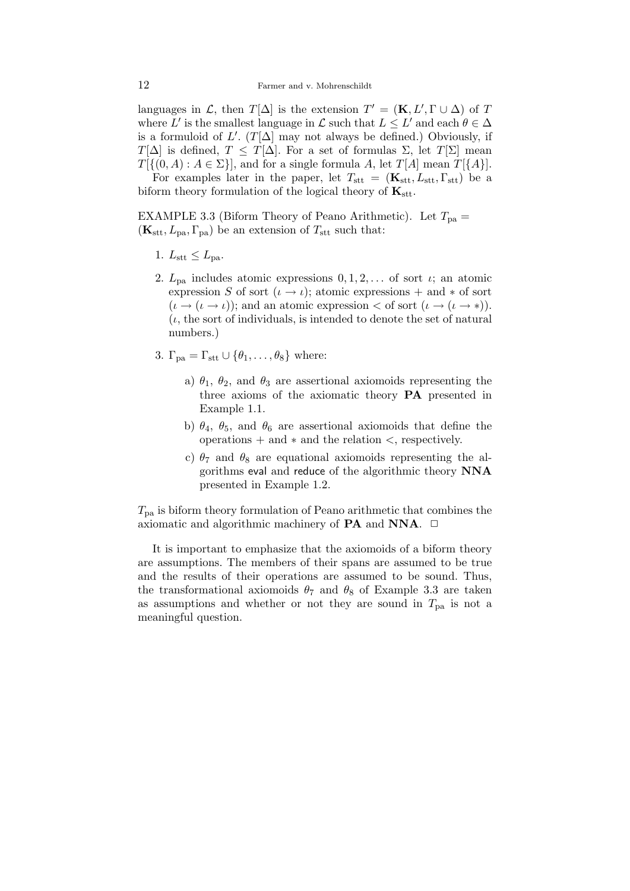languages in  $\mathcal{L}$ , then  $T[\Delta]$  is the extension  $T' = (\mathbf{K}, L', \Gamma \cup \Delta)$  of T where L' is the smallest language in  $\mathcal L$  such that  $L \leq L'$  and each  $\theta \in \Delta$ is a formuloid of L'.  $(T[\Delta] \text{ may not always be defined})$  Obviously, if  $T[\Delta]$  is defined,  $T \leq T[\Delta]$ . For a set of formulas  $\Sigma$ , let  $T[\Sigma]$  mean  $T[\{(0, A) : A \in \Sigma\}],$  and for a single formula A, let  $T[A]$  mean  $T[\{A\}].$ 

For examples later in the paper, let  $T_{\text{stt}} = (\mathbf{K}_{\text{stt}}, L_{\text{stt}}, \Gamma_{\text{stt}})$  be a biform theory formulation of the logical theory of  $\mathbf{K}_{\text{stt}}$ .

EXAMPLE 3.3 (Biform Theory of Peano Arithmetic). Let  $T_{pa} =$  $(K_{\text{stt}}, L_{\text{pa}}, \Gamma_{\text{pa}})$  be an extension of  $T_{\text{stt}}$  such that:

- 1.  $L_{\text{stt}} \leq L_{\text{pa}}$ .
- 2.  $L_{pa}$  includes atomic expressions  $0, 1, 2, \ldots$  of sort  $\iota$ ; an atomic expression S of sort  $(\iota \to \iota);$  atomic expressions + and  $*$  of sort  $(\iota \to (\iota \to \iota))$ ; and an atomic expression  $\lt$  of sort  $(\iota \to (\iota \to *)$ ).  $(\iota, \text{ the sort of individuals, is intended to denote the set of natural})$ numbers.)
- 3.  $\Gamma_{\text{pa}} = \Gamma_{\text{stt}} \cup \{\theta_1, \ldots, \theta_8\}$  where:
	- a)  $\theta_1$ ,  $\theta_2$ , and  $\theta_3$  are assertional axiomoids representing the three axioms of the axiomatic theory PA presented in Example 1.1.
	- b)  $\theta_4$ ,  $\theta_5$ , and  $\theta_6$  are assertional axiomoids that define the operations + and ∗ and the relation <, respectively.
	- c)  $\theta_7$  and  $\theta_8$  are equational axiomoids representing the algorithms eval and reduce of the algorithmic theory NNA presented in Example 1.2.

 $T_{pa}$  is biform theory formulation of Peano arithmetic that combines the axiomatic and algorithmic machinery of **PA** and **NNA**.  $\Box$ 

It is important to emphasize that the axiomoids of a biform theory are assumptions. The members of their spans are assumed to be true and the results of their operations are assumed to be sound. Thus, the transformational axiomoids  $\theta_7$  and  $\theta_8$  of Example 3.3 are taken as assumptions and whether or not they are sound in  $T_{pa}$  is not a meaningful question.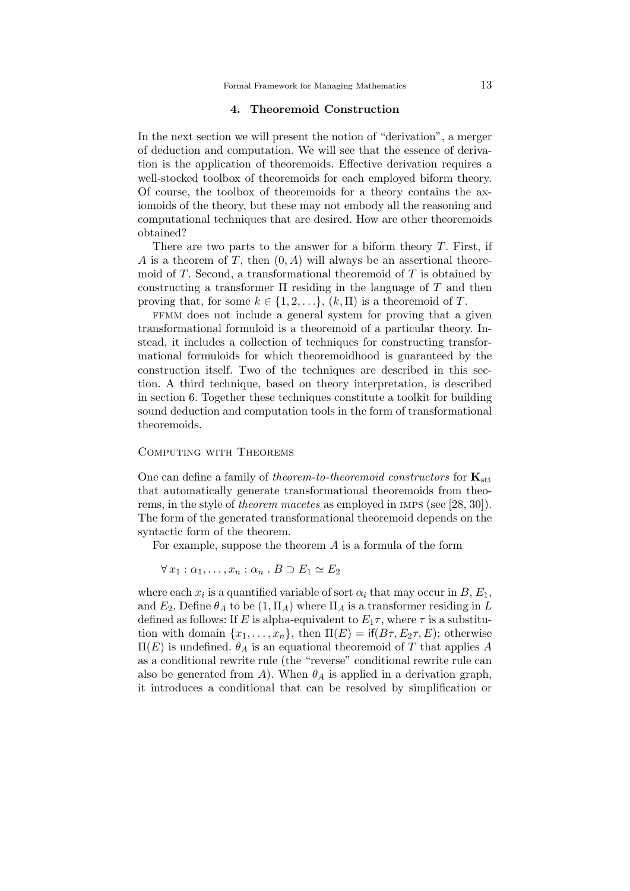# 4. Theoremoid Construction

In the next section we will present the notion of "derivation", a merger of deduction and computation. We will see that the essence of derivation is the application of theoremoids. Effective derivation requires a well-stocked toolbox of theoremoids for each employed biform theory. Of course, the toolbox of theoremoids for a theory contains the axiomoids of the theory, but these may not embody all the reasoning and computational techniques that are desired. How are other theoremoids obtained?

There are two parts to the answer for a biform theory  $T$ . First, if A is a theorem of T, then  $(0, A)$  will always be an assertional theoremoid of  $T$ . Second, a transformational theoremoid of  $T$  is obtained by constructing a transformer  $\Pi$  residing in the language of T and then proving that, for some  $k \in \{1, 2, \ldots\}$ ,  $(k, \Pi)$  is a theoremoid of T.

FFMM does not include a general system for proving that a given transformational formuloid is a theoremoid of a particular theory. Instead, it includes a collection of techniques for constructing transformational formuloids for which theoremoidhood is guaranteed by the construction itself. Two of the techniques are described in this section. A third technique, based on theory interpretation, is described in section 6. Together these techniques constitute a toolkit for building sound deduction and computation tools in the form of transformational theoremoids.

#### Computing with Theorems

One can define a family of theorem-to-theoremoid constructors for  $\mathbf{K}_{\text{stt}}$ that automatically generate transformational theoremoids from theorems, in the style of theorem macetes as employed in imps (see [28, 30]). The form of the generated transformational theoremoid depends on the syntactic form of the theorem.

For example, suppose the theorem A is a formula of the form

 $\forall x_1 : \alpha_1, \ldots, x_n : \alpha_n : B \supset E_1 \simeq E_2$ 

where each  $x_i$  is a quantified variable of sort  $\alpha_i$  that may occur in  $B, E_1$ , and  $E_2$ . Define  $\theta_A$  to be  $(1, \Pi_A)$  where  $\Pi_A$  is a transformer residing in L defined as follows: If E is alpha-equivalent to  $E_1\tau$ , where  $\tau$  is a substitution with domain  $\{x_1, \ldots, x_n\}$ , then  $\Pi(E) = \text{if}(B\tau, E_2\tau, E)$ ; otherwise  $\Pi(E)$  is undefined.  $\theta_A$  is an equational theoremoid of T that applies A as a conditional rewrite rule (the "reverse" conditional rewrite rule can also be generated from A). When  $\theta_A$  is applied in a derivation graph, it introduces a conditional that can be resolved by simplification or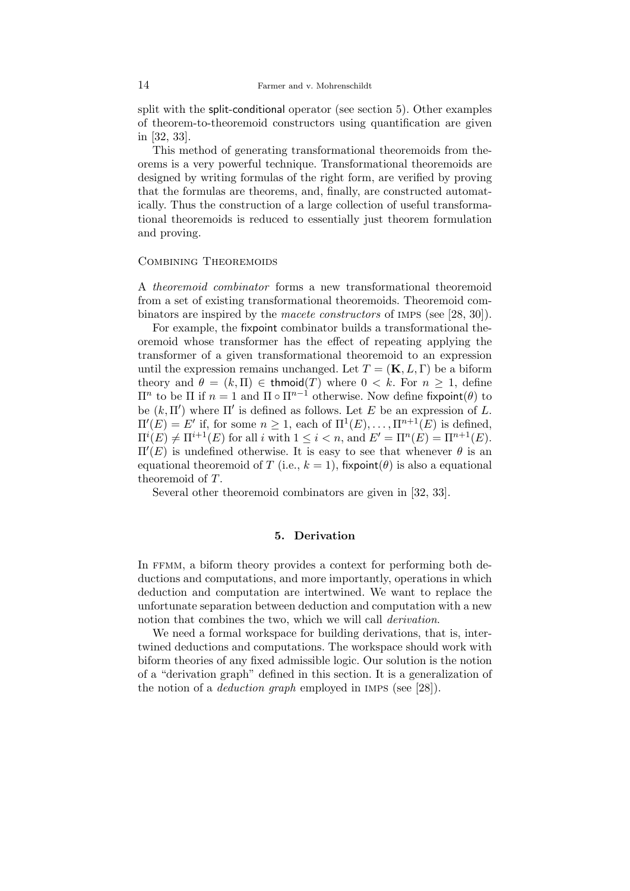split with the split-conditional operator (see section 5). Other examples of theorem-to-theoremoid constructors using quantification are given in [32, 33].

This method of generating transformational theoremoids from theorems is a very powerful technique. Transformational theoremoids are designed by writing formulas of the right form, are verified by proving that the formulas are theorems, and, finally, are constructed automatically. Thus the construction of a large collection of useful transformational theoremoids is reduced to essentially just theorem formulation and proving.

### Combining Theoremoids

A theoremoid combinator forms a new transformational theoremoid from a set of existing transformational theoremoids. Theoremoid combinators are inspired by the macete constructors of imps (see [28, 30]).

For example, the fixpoint combinator builds a transformational theoremoid whose transformer has the effect of repeating applying the transformer of a given transformational theoremoid to an expression until the expression remains unchanged. Let  $T = (\mathbf{K}, L, \Gamma)$  be a biform theory and  $\theta = (k, \Pi) \in \text{thmod}(T)$  where  $0 \leq k$ . For  $n \geq 1$ , define  $\Pi^n$  to be Π if  $n = 1$  and  $\Pi \circ \Pi^{n-1}$  otherwise. Now define fix point (θ) to be  $(k, \Pi')$  where  $\Pi'$  is defined as follows. Let E be an expression of L.  $\Pi'(E) = E'$  if, for some  $n \geq 1$ , each of  $\Pi^1(E), \ldots, \Pi^{n+1}(E)$  is defined,  $\Pi^{i}(E) \neq \Pi^{i+1}(E)$  for all i with  $1 \leq i < n$ , and  $E' = \Pi^{n}(E) = \Pi^{n+1}(E)$ .  $\Pi'(E)$  is undefined otherwise. It is easy to see that whenever  $\theta$  is an equational theoremoid of T (i.e.,  $k = 1$ ), fixpoint( $\theta$ ) is also a equational theoremoid of T.

Several other theoremoid combinators are given in [32, 33].

#### 5. Derivation

In FFMM, a biform theory provides a context for performing both deductions and computations, and more importantly, operations in which deduction and computation are intertwined. We want to replace the unfortunate separation between deduction and computation with a new notion that combines the two, which we will call *derivation*.

We need a formal workspace for building derivations, that is, intertwined deductions and computations. The workspace should work with biform theories of any fixed admissible logic. Our solution is the notion of a "derivation graph" defined in this section. It is a generalization of the notion of a *deduction graph* employed in IMPS (see [28]).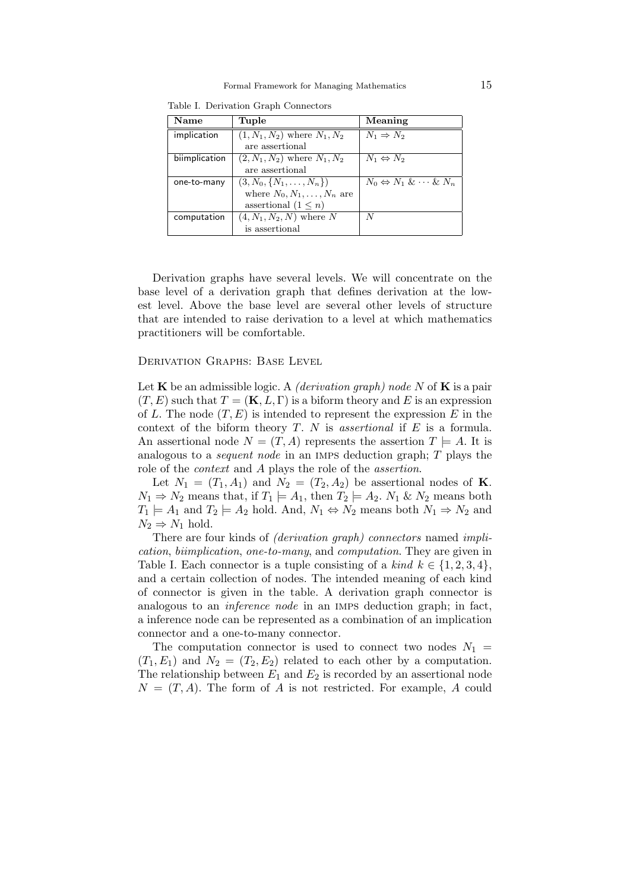| Name          | Tuple                             | Meaning                                    |
|---------------|-----------------------------------|--------------------------------------------|
| implication   | $(1, N_1, N_2)$ where $N_1, N_2$  | $N_1 \Rightarrow N_2$                      |
|               | are assertional                   |                                            |
| biimplication | $(2, N_1, N_2)$ where $N_1, N_2$  | $N_1 \Leftrightarrow N_2$                  |
|               | are assertional                   |                                            |
| one-to-many   | $(3, N_0, \{N_1, \ldots, N_n\})$  | $N_0 \Leftrightarrow N_1 \& \cdots \& N_n$ |
|               | where $N_0, N_1, \ldots, N_n$ are |                                            |
|               | assertional $(1 \leq n)$          |                                            |
| computation   | $(4, N_1, N_2, N)$ where N        | N                                          |
|               | is assertional                    |                                            |

Table I. Derivation Graph Connectors

Derivation graphs have several levels. We will concentrate on the base level of a derivation graph that defines derivation at the lowest level. Above the base level are several other levels of structure that are intended to raise derivation to a level at which mathematics practitioners will be comfortable.

#### DERIVATION GRAPHS: BASE LEVEL

Let  $\bf{K}$  be an admissible logic. A *(derivation graph)* node N of  $\bf{K}$  is a pair  $(T, E)$  such that  $T = (\mathbf{K}, L, \Gamma)$  is a biform theory and E is an expression of L. The node  $(T, E)$  is intended to represent the expression E in the context of the biform theory  $T$ . N is assertional if  $E$  is a formula. An assertional node  $N = (T, A)$  represents the assertion  $T \models A$ . It is analogous to a sequent node in an imps deduction graph; T plays the role of the context and A plays the role of the assertion.

Let  $N_1 = (T_1, A_1)$  and  $N_2 = (T_2, A_2)$  be assertional nodes of **K**.  $N_1 \Rightarrow N_2$  means that, if  $T_1 \models A_1$ , then  $T_2 \models A_2$ .  $N_1 \& N_2$  means both  $T_1 \models A_1$  and  $T_2 \models A_2$  hold. And,  $N_1 \Leftrightarrow N_2$  means both  $N_1 \Rightarrow N_2$  and  $N_2 \Rightarrow N_1$  hold.

There are four kinds of *(derivation graph)* connectors named *impli*cation, biimplication, one-to-many, and computation. They are given in Table I. Each connector is a tuple consisting of a kind  $k \in \{1, 2, 3, 4\}$ , and a certain collection of nodes. The intended meaning of each kind of connector is given in the table. A derivation graph connector is analogous to an inference node in an imps deduction graph; in fact, a inference node can be represented as a combination of an implication connector and a one-to-many connector.

The computation connector is used to connect two nodes  $N_1$  =  $(T_1, E_1)$  and  $N_2 = (T_2, E_2)$  related to each other by a computation. The relationship between  $E_1$  and  $E_2$  is recorded by an assertional node  $N = (T, A)$ . The form of A is not restricted. For example, A could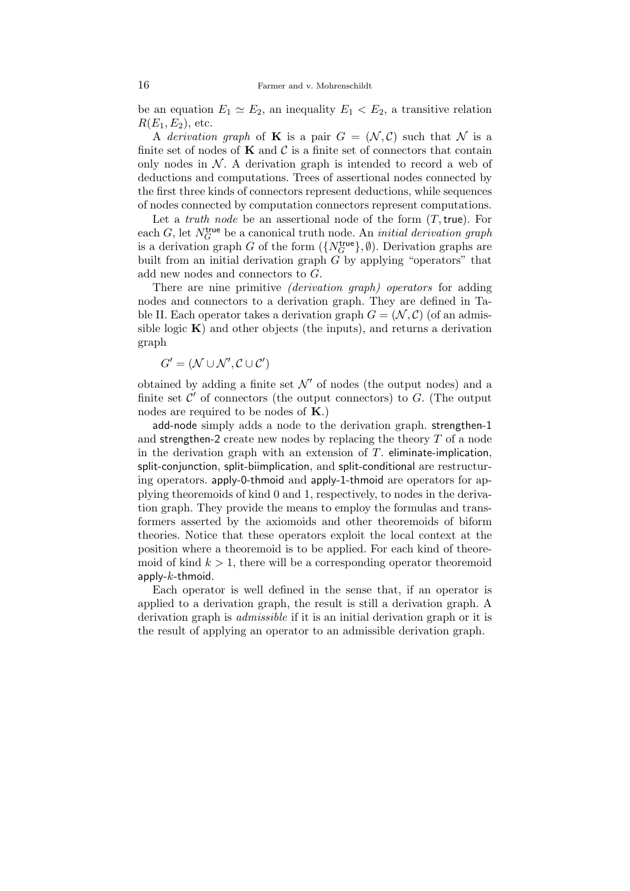be an equation  $E_1 \simeq E_2$ , an inequality  $E_1 < E_2$ , a transitive relation  $R(E_1, E_2)$ , etc.

A derivation graph of **K** is a pair  $G = (\mathcal{N}, \mathcal{C})$  such that N is a finite set of nodes of  $\bf{K}$  and  $\mathcal{C}$  is a finite set of connectors that contain only nodes in  $N$ . A derivation graph is intended to record a web of deductions and computations. Trees of assertional nodes connected by the first three kinds of connectors represent deductions, while sequences of nodes connected by computation connectors represent computations.

Let a *truth node* be an assertional node of the form  $(T, true)$ . For each  $G$ , let  $N_G^{\text{true}}$  be a canonical truth node. An *initial derivation graph* is a derivation graph G of the form  $(\{N_G^{\text{true}}\}, \emptyset)$ . Derivation graphs are built from an initial derivation graph  $G$  by applying "operators" that add new nodes and connectors to G.

There are nine primitive *(derivation graph)* operators for adding nodes and connectors to a derivation graph. They are defined in Table II. Each operator takes a derivation graph  $G = (\mathcal{N}, \mathcal{C})$  (of an admissible logic  $\bf{K}$ ) and other objects (the inputs), and returns a derivation graph

$$
G' = (\mathcal{N} \cup \mathcal{N}', \mathcal{C} \cup \mathcal{C}')
$$

obtained by adding a finite set  $\mathcal{N}'$  of nodes (the output nodes) and a finite set  $\overrightarrow{C}$  of connectors (the output connectors) to G. (The output nodes are required to be nodes of  $K$ .)

add-node simply adds a node to the derivation graph. strengthen-1 and strengthen-2 create new nodes by replacing the theory  $T$  of a node in the derivation graph with an extension of  $T$ . eliminate-implication, split-conjunction, split-biimplication, and split-conditional are restructuring operators. apply-0-thmoid and apply-1-thmoid are operators for applying theoremoids of kind 0 and 1, respectively, to nodes in the derivation graph. They provide the means to employ the formulas and transformers asserted by the axiomoids and other theoremoids of biform theories. Notice that these operators exploit the local context at the position where a theoremoid is to be applied. For each kind of theoremoid of kind  $k > 1$ , there will be a corresponding operator theoremoid apply- $k$ -thmoid.

Each operator is well defined in the sense that, if an operator is applied to a derivation graph, the result is still a derivation graph. A derivation graph is admissible if it is an initial derivation graph or it is the result of applying an operator to an admissible derivation graph.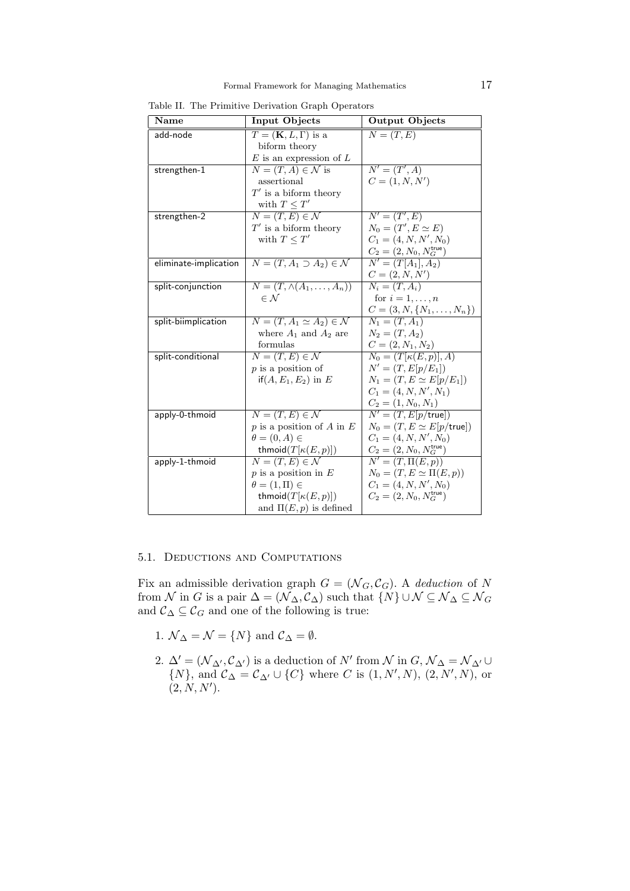| Name                  | Input Objects                                            | Output Objects                                                           |
|-----------------------|----------------------------------------------------------|--------------------------------------------------------------------------|
| add-node              | $T = (K, L, \Gamma)$ is a                                | $N=(T,E)$                                                                |
|                       | biform theory                                            |                                                                          |
|                       | $E$ is an expression of $L$                              |                                                                          |
| strengthen-1          | $N = (T, A) \in \mathcal{N}$ is                          | $N' = (T', A)$                                                           |
|                       | assertional                                              | $C = (1, N, N')$                                                         |
|                       | $T'$ is a biform theory                                  |                                                                          |
|                       | with $T \leq T'$                                         |                                                                          |
| strengthen-2          | $N = (T, E) \in \mathcal{N}$                             | $N'=(T',E)$                                                              |
|                       | $T'$ is a biform theory                                  | $N_0 = (T', E \simeq E)$                                                 |
|                       | with $T \leq T'$                                         | $C_1 = (4, N, N', N_0)$                                                  |
|                       |                                                          | $C_2 = (2, N_0, N_G^{\text{true}})$<br>$N' = (T[A_1], A_2)$              |
| eliminate-implication | $N=(T,A_1\supset A_2)\in\mathcal{N}$                     |                                                                          |
|                       |                                                          | $C=(\underline{2,N,N'})$                                                 |
| split-conjunction     | $N=(T,\wedge(A_1,\ldots,A_n))$                           | $\overline{N_i} = (T, A_i)$                                              |
|                       | $\in \mathcal{N}$                                        | for $i=1,\ldots,n$                                                       |
|                       |                                                          | $C = (3, N, \{N_1, \ldots, N_n\})$                                       |
| split-biimplication   | $N=(T, A_1 \simeq A_2) \in \mathcal{N}$                  | $N_1 = (T, A_1)$                                                         |
|                       | where $A_1$ and $A_2$ are                                | $N_2 = (T, A_2)$                                                         |
|                       | formulas                                                 | $C = (2, N_1, N_2)$                                                      |
| split-conditional     | $N = (T, E) \in \mathcal{N}$                             | $N_0 = (T[\kappa(E, p)], A)$                                             |
|                       | $p$ is a position of                                     | $N' = (T, E[p/E_1])$                                                     |
|                       | if $(A, E_1, E_2)$ in E                                  | $N_1 = (T, E \simeq E[p/E_1])$                                           |
|                       |                                                          | $C_1 = (4, N, N', N_1)$                                                  |
|                       |                                                          | $C_2 = (1, N_0, N_1)$<br>$N' = (T, E[p/\text{true}])$                    |
| apply-0-thmoid        | $N = (T, E) \in \mathcal{N}$                             | $N_0 = (T, E \simeq E[p/\text{true}])$                                   |
|                       | $p$ is a position of $A$ in $E$<br>$\theta = (0, A) \in$ | $C_1 = (4, N, N', N_0)$                                                  |
|                       |                                                          |                                                                          |
| apply-1-thmoid        | thmoid $(T[\kappa(E,p)])$<br>$N=(T,E)\in\mathcal{N}$     | $C_2 = (\underline{2,N_0,N_G^{\mathsf{true}}})$<br>$N' = (T, \Pi(E, p))$ |
|                       | $p$ is a position in $E$                                 | $N_0 = (T, E \simeq \Pi(E, p))$                                          |
|                       | $\theta = (1,\Pi) \in$                                   | $C_1 = (4, N, N', N_0)$                                                  |
|                       | thmoid $(T[\kappa(E,p)])$                                | $C_2 = (2, N_0, N_G^{\text{true}})$                                      |
|                       | and $\Pi(E, p)$ is defined                               |                                                                          |

Table II. The Primitive Derivation Graph Operators

# 5.1. Deductions and Computations

Fix an admissible derivation graph  $G = (\mathcal{N}_G, \mathcal{C}_G)$ . A deduction of N from  $\mathcal N$  in G is a pair  $\Delta = (\overline{\mathcal N}_\Delta,\overline{\mathcal C}_\Delta)$  such that  $\{N\} \cup \mathcal N \subseteq \mathcal N_\Delta \subseteq \mathcal N_G$ and  $\mathcal{C}_{\Delta} \subseteq \mathcal{C}_G$  and one of the following is true:

- 1.  $\mathcal{N}_{\Delta} = \mathcal{N} = \{N\}$  and  $\mathcal{C}_{\Delta} = \emptyset$ .
- 2.  $\Delta' = (\mathcal{N}_{\Delta'}, \mathcal{C}_{\Delta'})$  is a deduction of  $N'$  from  $\mathcal{N}$  in  $G, \mathcal{N}_{\Delta} = \mathcal{N}_{\Delta'} \cup$  $\{N\}$ , and  $\mathcal{C}_{\Delta} = \mathcal{C}_{\Delta'} \cup \{C\}$  where C is  $(1, N', N), (2, N', N)$ , or  $(2, N, N').$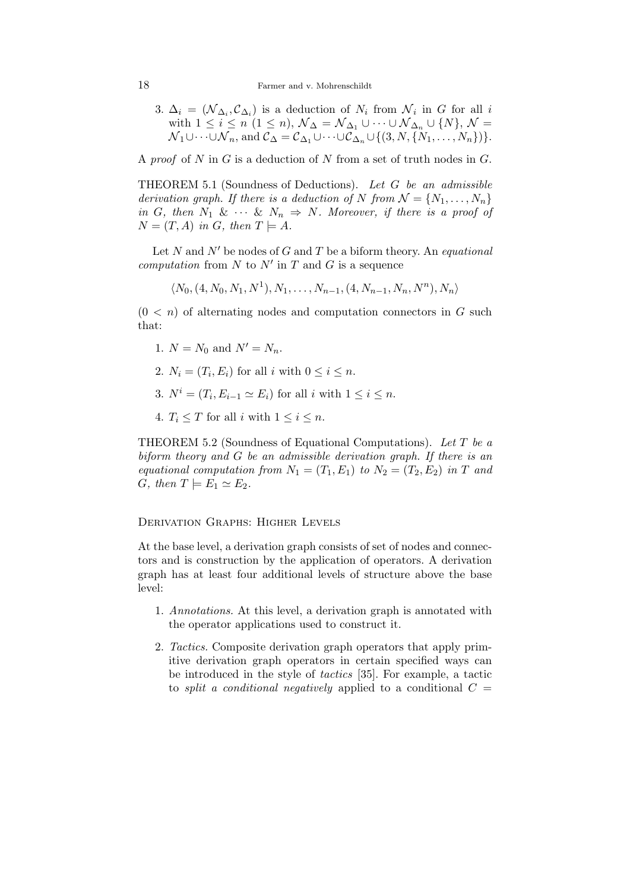3.  $\Delta_i = (\mathcal{N}_{\Delta_i}, \mathcal{C}_{\Delta_i})$  is a deduction of  $N_i$  from  $\mathcal{N}_i$  in G for all i with  $1 \leq i \leq n \ (1 \leq n), \, \mathcal{N}_{\Delta} = \mathcal{N}_{\Delta_1} \cup \cdots \cup \mathcal{N}_{\Delta_n} \cup \{N\}, \, \mathcal{N} =$  $\mathcal{N}_1 \cup \cdots \cup \mathcal{N}_n$ , and  $\mathcal{C}_{\Delta} = \mathcal{C}_{\Delta_1} \cup \cdots \cup \mathcal{C}_{\Delta_n} \cup \{(3, N, \{N_1, \ldots, N_n\})\}.$ 

A proof of N in G is a deduction of N from a set of truth nodes in  $G$ .

THEOREM 5.1 (Soundness of Deductions). Let G be an admissible derivation graph. If there is a deduction of N from  $\mathcal{N} = \{N_1, \ldots, N_n\}$ in G, then  $N_1 \& \cdots \& N_n \Rightarrow N$ . Moreover, if there is a proof of  $N = (T, A)$  in G, then  $T \models A$ .

Let N and N' be nodes of G and T be a biform theory. An equational computation from  $N$  to  $N'$  in  $T$  and  $G$  is a sequence

$$
\langle N_0, (4, N_0, N_1, N^1), N_1, \ldots, N_{n-1}, (4, N_{n-1}, N_n, N^n), N_n \rangle
$$

 $(0 < n)$  of alternating nodes and computation connectors in G such that:

- 1.  $N = N_0$  and  $N' = N_n$ .
- 2.  $N_i = (T_i, E_i)$  for all i with  $0 \le i \le n$ .
- 3.  $N^i = (T_i, E_{i-1} \simeq E_i)$  for all i with  $1 \leq i \leq n$ .
- 4.  $T_i \leq T$  for all i with  $1 \leq i \leq n$ .

THEOREM 5.2 (Soundness of Equational Computations). Let  $T$  be a biform theory and G be an admissible derivation graph. If there is an equational computation from  $N_1 = (T_1, E_1)$  to  $N_2 = (T_2, E_2)$  in T and G, then  $T \models E_1 \simeq E_2$ .

### Derivation Graphs: Higher Levels

At the base level, a derivation graph consists of set of nodes and connectors and is construction by the application of operators. A derivation graph has at least four additional levels of structure above the base level:

- 1. Annotations. At this level, a derivation graph is annotated with the operator applications used to construct it.
- 2. Tactics. Composite derivation graph operators that apply primitive derivation graph operators in certain specified ways can be introduced in the style of tactics [35]. For example, a tactic to split a conditional negatively applied to a conditional  $C =$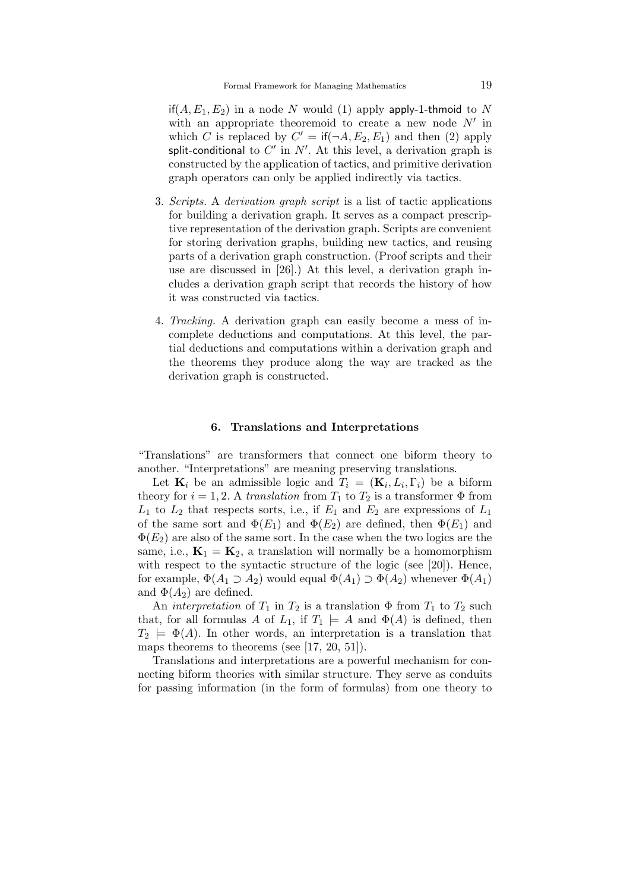if( $A, E_1, E_2$ ) in a node N would (1) apply apply-1-thmoid to N with an appropriate theoremoid to create a new node  $N'$  in which C is replaced by  $C' = \text{if}(\neg A, E_2, E_1)$  and then (2) apply split-conditional to  $C'$  in  $N'$ . At this level, a derivation graph is constructed by the application of tactics, and primitive derivation graph operators can only be applied indirectly via tactics.

- 3. Scripts. A derivation graph script is a list of tactic applications for building a derivation graph. It serves as a compact prescriptive representation of the derivation graph. Scripts are convenient for storing derivation graphs, building new tactics, and reusing parts of a derivation graph construction. (Proof scripts and their use are discussed in [26].) At this level, a derivation graph includes a derivation graph script that records the history of how it was constructed via tactics.
- 4. Tracking. A derivation graph can easily become a mess of incomplete deductions and computations. At this level, the partial deductions and computations within a derivation graph and the theorems they produce along the way are tracked as the derivation graph is constructed.

#### 6. Translations and Interpretations

"Translations" are transformers that connect one biform theory to another. "Interpretations" are meaning preserving translations.

Let  $\mathbf{K}_i$  be an admissible logic and  $T_i = (\mathbf{K}_i, L_i, \Gamma_i)$  be a biform theory for  $i = 1, 2$ . A translation from  $T_1$  to  $T_2$  is a transformer  $\Phi$  from  $L_1$  to  $L_2$  that respects sorts, i.e., if  $E_1$  and  $E_2$  are expressions of  $L_1$ of the same sort and  $\Phi(E_1)$  and  $\Phi(E_2)$  are defined, then  $\Phi(E_1)$  and  $\Phi(E_2)$  are also of the same sort. In the case when the two logics are the same, i.e.,  $\mathbf{K}_1 = \mathbf{K}_2$ , a translation will normally be a homomorphism with respect to the syntactic structure of the logic (see [20]). Hence, for example,  $\Phi(A_1 \supset A_2)$  would equal  $\Phi(A_1) \supset \Phi(A_2)$  whenever  $\Phi(A_1)$ and  $\Phi(A_2)$  are defined.

An *interpretation* of  $T_1$  in  $T_2$  is a translation  $\Phi$  from  $T_1$  to  $T_2$  such that, for all formulas A of  $L_1$ , if  $T_1 \models A$  and  $\Phi(A)$  is defined, then  $T_2 \models \Phi(A)$ . In other words, an interpretation is a translation that maps theorems to theorems (see [17, 20, 51]).

Translations and interpretations are a powerful mechanism for connecting biform theories with similar structure. They serve as conduits for passing information (in the form of formulas) from one theory to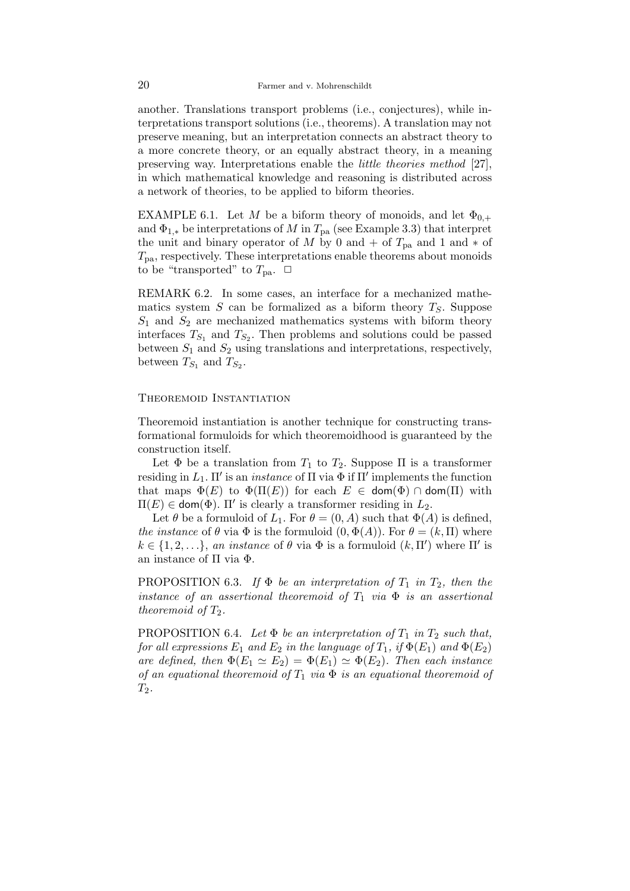another. Translations transport problems (i.e., conjectures), while interpretations transport solutions (i.e., theorems). A translation may not preserve meaning, but an interpretation connects an abstract theory to a more concrete theory, or an equally abstract theory, in a meaning preserving way. Interpretations enable the little theories method [27], in which mathematical knowledge and reasoning is distributed across a network of theories, to be applied to biform theories.

EXAMPLE 6.1. Let M be a biform theory of monoids, and let  $\Phi_{0,+}$ and  $\Phi_{1,*}$  be interpretations of M in  $T_{pa}$  (see Example 3.3) that interpret the unit and binary operator of M by 0 and + of  $T_{pa}$  and 1 and  $*$  of  $T_{\text{pa}}$ , respectively. These interpretations enable theorems about monoids to be "transported" to  $T_{\text{pa}}$ .  $\Box$ 

REMARK 6.2. In some cases, an interface for a mechanized mathematics system  $S$  can be formalized as a biform theory  $T_S$ . Suppose  $S_1$  and  $S_2$  are mechanized mathematics systems with biform theory interfaces  $T_{S_1}$  and  $T_{S_2}$ . Then problems and solutions could be passed between  $S_1$  and  $S_2$  using translations and interpretations, respectively, between  $T_{S_1}$  and  $T_{S_2}$ .

# Theoremoid Instantiation

Theoremoid instantiation is another technique for constructing transformational formuloids for which theoremoidhood is guaranteed by the construction itself.

Let  $\Phi$  be a translation from  $T_1$  to  $T_2$ . Suppose  $\Pi$  is a transformer residing in  $L_1$ .  $\Pi'$  is an *instance* of  $\Pi$  via  $\Phi$  if  $\Pi'$  implements the function that maps  $\Phi(E)$  to  $\Phi(\Pi(E))$  for each  $E \in \text{dom}(\Phi) \cap \text{dom}(\Pi)$  with  $\Pi(E) \in \text{dom}(\Phi)$ .  $\Pi'$  is clearly a transformer residing in  $L_2$ .

Let  $\theta$  be a formuloid of  $L_1$ . For  $\theta = (0, A)$  such that  $\Phi(A)$  is defined, the instance of  $\theta$  via  $\Phi$  is the formuloid  $(0, \Phi(A))$ . For  $\theta = (k, \Pi)$  where  $k \in \{1, 2, \ldots\}$ , an instance of  $\theta$  via  $\Phi$  is a formuloid  $(k, \Pi')$  where  $\Pi'$  is an instance of Π via Φ.

PROPOSITION 6.3. If  $\Phi$  be an interpretation of  $T_1$  in  $T_2$ , then the instance of an assertional theoremoid of  $T_1$  via  $\Phi$  is an assertional theoremoid of  $T_2$ .

PROPOSITION 6.4. Let  $\Phi$  be an interpretation of  $T_1$  in  $T_2$  such that, for all expressions  $E_1$  and  $E_2$  in the language of  $T_1$ , if  $\Phi(E_1)$  and  $\Phi(E_2)$ are defined, then  $\Phi(E_1 \simeq E_2) = \Phi(E_1) \simeq \Phi(E_2)$ . Then each instance of an equational theoremoid of  $T_1$  via  $\Phi$  is an equational theoremoid of  $T_2$ .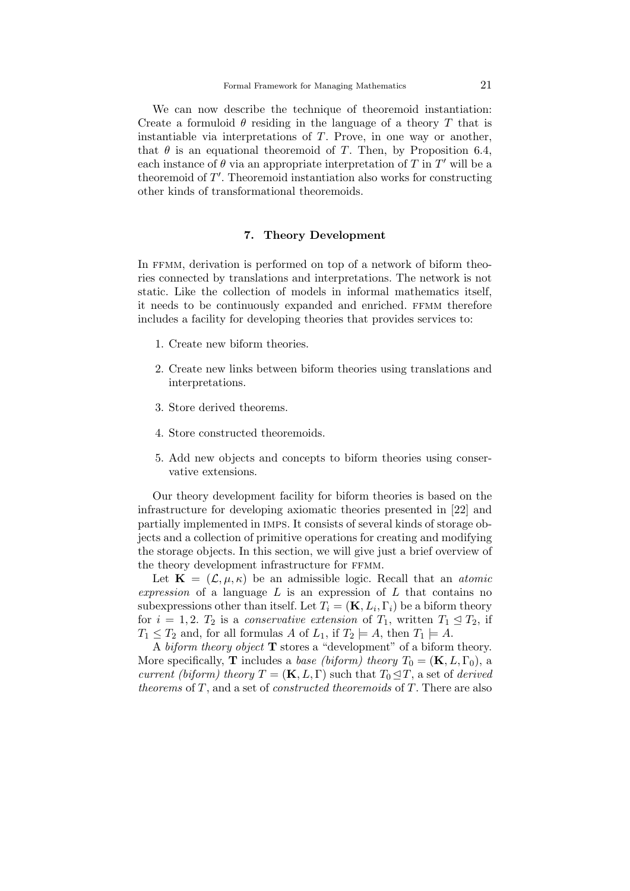We can now describe the technique of theoremoid instantiation: Create a formuloid  $\theta$  residing in the language of a theory T that is instantiable via interpretations of  $T$ . Prove, in one way or another, that  $\theta$  is an equational theoremoid of T. Then, by Proposition 6.4, each instance of  $\theta$  via an appropriate interpretation of T in T' will be a theoremoid of  $T'$ . Theoremoid instantiation also works for constructing other kinds of transformational theoremoids.

# 7. Theory Development

In FFMM, derivation is performed on top of a network of biform theories connected by translations and interpretations. The network is not static. Like the collection of models in informal mathematics itself, it needs to be continuously expanded and enriched. FFMM therefore includes a facility for developing theories that provides services to:

- 1. Create new biform theories.
- 2. Create new links between biform theories using translations and interpretations.
- 3. Store derived theorems.
- 4. Store constructed theoremoids.
- 5. Add new objects and concepts to biform theories using conservative extensions.

Our theory development facility for biform theories is based on the infrastructure for developing axiomatic theories presented in [22] and partially implemented in imps. It consists of several kinds of storage objects and a collection of primitive operations for creating and modifying the storage objects. In this section, we will give just a brief overview of the theory development infrastructure for  $FFMM$ .

Let  $\mathbf{K} = (\mathcal{L}, \mu, \kappa)$  be an admissible logic. Recall that an *atomic* expression of a language  $L$  is an expression of  $L$  that contains no subexpressions other than itself. Let  $T_i = (\mathbf{K}, L_i, \Gamma_i)$  be a biform theory for  $i = 1, 2$ .  $T_2$  is a conservative extension of  $T_1$ , written  $T_1 \leq T_2$ , if  $T_1 \leq T_2$  and, for all formulas A of  $L_1$ , if  $T_2 \models A$ , then  $T_1 \models A$ .

A biform theory object  $T$  stores a "development" of a biform theory. More specifically, **T** includes a base (biform) theory  $T_0 = (\mathbf{K}, L, \Gamma_0)$ , a current (biform) theory  $T = (\mathbf{K}, L, \Gamma)$  such that  $T_0 \leq T$ , a set of derived theorems of  $T$ , and a set of *constructed theoremoids* of  $T$ . There are also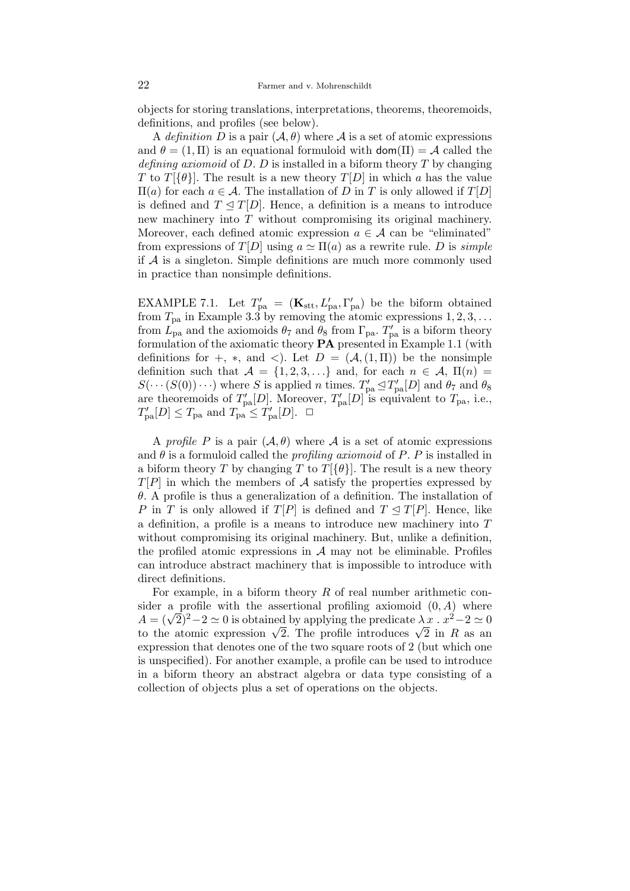objects for storing translations, interpretations, theorems, theoremoids, definitions, and profiles (see below).

A definition D is a pair  $(A, \theta)$  where A is a set of atomic expressions and  $\theta = (1, \Pi)$  is an equational formuloid with  $\mathsf{dom}(\Pi) = \mathcal{A}$  called the defining axiomoid of  $D$ .  $D$  is installed in a biform theory  $T$  by changing T to  $T[\{\theta\}]$ . The result is a new theory  $T[D]$  in which a has the value  $\Pi(a)$  for each  $a \in \mathcal{A}$ . The installation of D in T is only allowed if  $T[D]$ is defined and  $T \leq T[D]$ . Hence, a definition is a means to introduce new machinery into T without compromising its original machinery. Moreover, each defined atomic expression  $a \in \mathcal{A}$  can be "eliminated" from expressions of  $T[D]$  using  $a \simeq \Pi(a)$  as a rewrite rule. D is simple if  $A$  is a singleton. Simple definitions are much more commonly used in practice than nonsimple definitions.

EXAMPLE 7.1. Let  $T'_{pa} = (K_{\text{stt}}, L'_{pa}, \Gamma'_{pa})$  be the biform obtained from  $T_{pa}$  in Example 3.3 by removing the atomic expressions  $1, 2, 3, \ldots$ from  $L_{\text{pa}}^{\text{pa}}$  and the axiomoids  $\theta_7$  and  $\theta_8$  from  $\Gamma_{\text{pa}}$ .  $T'_{\text{pa}}$  is a biform theory formulation of the axiomatic theory PA presented in Example 1.1 (with definitions for +,  $\ast$ , and <). Let  $D = (\mathcal{A}, (1, \Pi))$  be the nonsimple definition such that  $A = \{1, 2, 3, ...\}$  and, for each  $n \in A$ ,  $\Pi(n) =$  $S(\cdots(S(0))\cdots)$  where S is applied n times.  $T'_{pa} \trianglelefteq T'_{pa}[D]$  and  $\theta_7$  and  $\theta_8$ are theoremoids of  $T'_{pa}[D]$ . Moreover,  $T'_{pa}[D]$  is equivalent to  $T_{pa}$ , i.e.,  $T'_{ba}[D] \leq T_{pa}$  and  $T' \leq T'_{ba}[D]$  $T'_{\text{pa}}[D] \leq T_{\text{pa}}$  and  $T_{\text{pa}} \leq T'_{\text{pa}}[D]$ .  $\Box$ 

A profile P is a pair  $(A, \theta)$  where A is a set of atomic expressions and  $\theta$  is a formuloid called the *profiling axiomoid* of P. P is installed in a biform theory T by changing T to  $T[\{\theta\}]$ . The result is a new theory  $T[P]$  in which the members of A satisfy the properties expressed by  $\theta$ . A profile is thus a generalization of a definition. The installation of P in T is only allowed if  $T[P]$  is defined and  $T \leq T[P]$ . Hence, like a definition, a profile is a means to introduce new machinery into T without compromising its original machinery. But, unlike a definition, the profiled atomic expressions in  $\mathcal A$  may not be eliminable. Profiles can introduce abstract machinery that is impossible to introduce with direct definitions.

For example, in a biform theory  $R$  of real number arithmetic consider a profile with the assertional profiling axiomoid  $(0, A)$  where sider a profile with the assertional profiling axiomoid  $(0, A)$  where  $A = (\sqrt{2})^2 - 2 \simeq 0$  is obtained by applying the predicate  $\lambda x \cdot x^2 - 2 \simeq 0$  $A = (\sqrt{2})^2 - 2 \approx 0$  is obtained by applying the predicate  $\lambda x \cdot x^2 - 2 \approx 0$ <br>to the atomic expression  $\sqrt{2}$ . The profile introduces  $\sqrt{2}$  in R as an expression that denotes one of the two square roots of 2 (but which one is unspecified). For another example, a profile can be used to introduce in a biform theory an abstract algebra or data type consisting of a collection of objects plus a set of operations on the objects.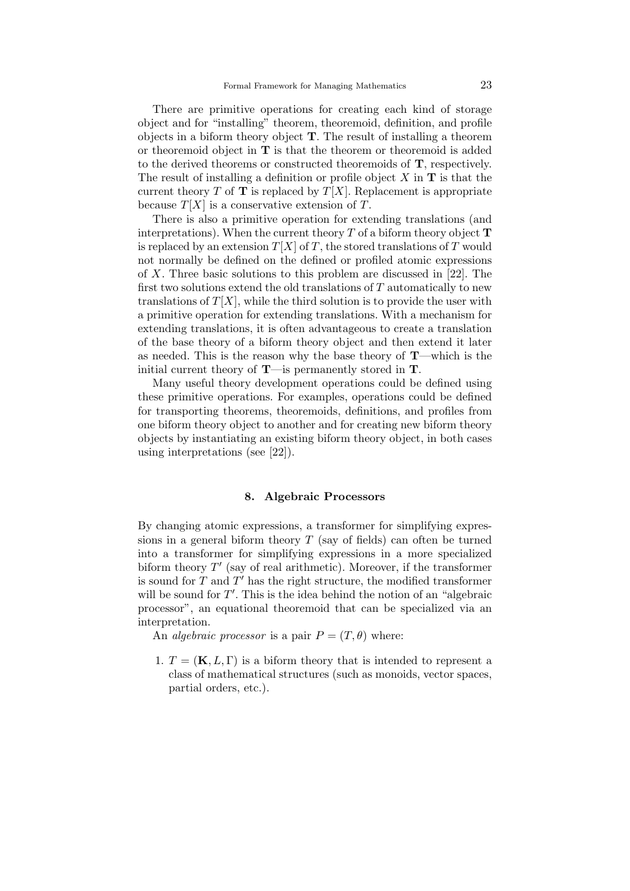There are primitive operations for creating each kind of storage object and for "installing" theorem, theoremoid, definition, and profile objects in a biform theory object T. The result of installing a theorem or theoremoid object in  $T$  is that the theorem or theoremoid is added to the derived theorems or constructed theoremoids of T, respectively. The result of installing a definition or profile object  $X$  in  $T$  is that the current theory T of **T** is replaced by  $T[X]$ . Replacement is appropriate because  $T[X]$  is a conservative extension of T.

There is also a primitive operation for extending translations (and interpretations). When the current theory  $T$  of a biform theory object  $T$ is replaced by an extension  $T[X]$  of T, the stored translations of T would not normally be defined on the defined or profiled atomic expressions of X. Three basic solutions to this problem are discussed in [22]. The first two solutions extend the old translations of  $T$  automatically to new translations of  $T[X]$ , while the third solution is to provide the user with a primitive operation for extending translations. With a mechanism for extending translations, it is often advantageous to create a translation of the base theory of a biform theory object and then extend it later as needed. This is the reason why the base theory of  $T$ —which is the initial current theory of  $\mathbf{T}$ —is permanently stored in  $\mathbf{T}$ .

Many useful theory development operations could be defined using these primitive operations. For examples, operations could be defined for transporting theorems, theoremoids, definitions, and profiles from one biform theory object to another and for creating new biform theory objects by instantiating an existing biform theory object, in both cases using interpretations (see [22]).

# 8. Algebraic Processors

By changing atomic expressions, a transformer for simplifying expressions in a general biform theory  $T$  (say of fields) can often be turned into a transformer for simplifying expressions in a more specialized biform theory  $T'$  (say of real arithmetic). Moreover, if the transformer is sound for  $T$  and  $T'$  has the right structure, the modified transformer will be sound for  $T'$ . This is the idea behind the notion of an "algebraic processor", an equational theoremoid that can be specialized via an interpretation.

An *algebraic processor* is a pair  $P = (T, \theta)$  where:

1.  $T = (K, L, \Gamma)$  is a biform theory that is intended to represent a class of mathematical structures (such as monoids, vector spaces, partial orders, etc.).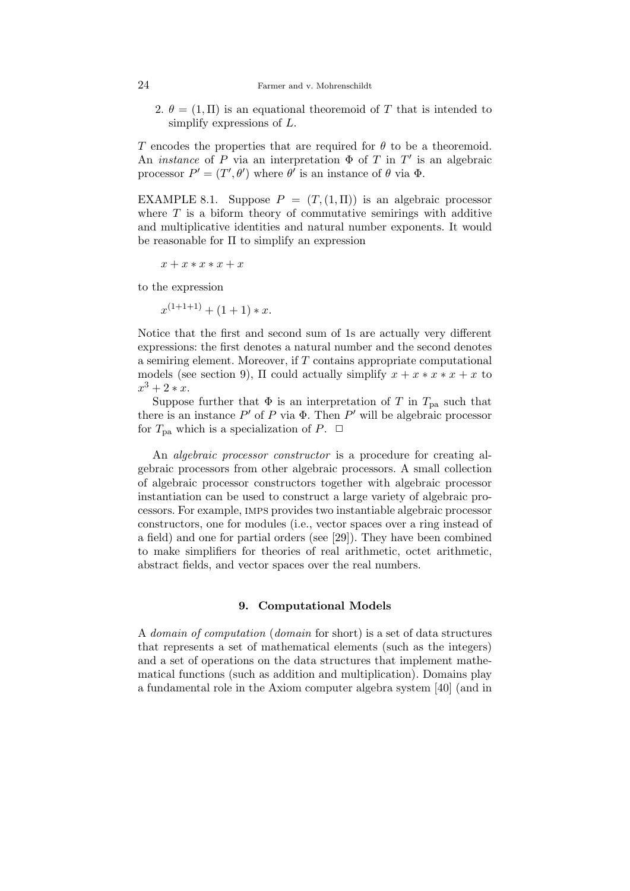# 24 Farmer and v. Mohrenschildt

2.  $\theta = (1, \Pi)$  is an equational theoremoid of T that is intended to simplify expressions of L.

T encodes the properties that are required for  $\theta$  to be a theoremoid. An *instance* of P via an interpretation  $\Phi$  of T in T' is an algebraic processor  $P' = (T', \theta')$  where  $\theta'$  is an instance of  $\theta$  via  $\Phi$ .

EXAMPLE 8.1. Suppose  $P = (T,(1,\Pi))$  is an algebraic processor where  $T$  is a biform theory of commutative semirings with additive and multiplicative identities and natural number exponents. It would be reasonable for Π to simplify an expression

 $x + x \times x + x$ 

to the expression

 $x^{(1+1+1)} + (1+1) * x.$ 

Notice that the first and second sum of 1s are actually very different expressions: the first denotes a natural number and the second denotes a semiring element. Moreover, if T contains appropriate computational models (see section 9),  $\Pi$  could actually simplify  $x + x * x * x + x$  to  $x^3 + 2 * x.$ 

Suppose further that  $\Phi$  is an interpretation of T in T<sub>pa</sub> such that there is an instance  $P'$  of P via  $\Phi$ . Then P' will be algebraic processor for  $T_{pa}$  which is a specialization of  $P$ .  $\Box$ 

An algebraic processor constructor is a procedure for creating algebraic processors from other algebraic processors. A small collection of algebraic processor constructors together with algebraic processor instantiation can be used to construct a large variety of algebraic processors. For example, imps provides two instantiable algebraic processor constructors, one for modules (i.e., vector spaces over a ring instead of a field) and one for partial orders (see [29]). They have been combined to make simplifiers for theories of real arithmetic, octet arithmetic, abstract fields, and vector spaces over the real numbers.

# 9. Computational Models

A domain of computation (domain for short) is a set of data structures that represents a set of mathematical elements (such as the integers) and a set of operations on the data structures that implement mathematical functions (such as addition and multiplication). Domains play a fundamental role in the Axiom computer algebra system [40] (and in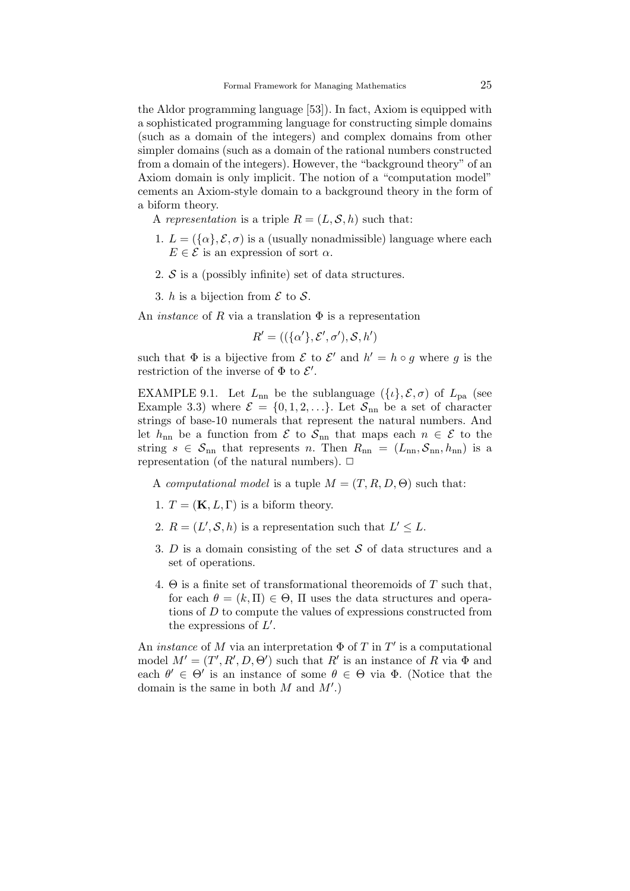the Aldor programming language [53]). In fact, Axiom is equipped with a sophisticated programming language for constructing simple domains (such as a domain of the integers) and complex domains from other simpler domains (such as a domain of the rational numbers constructed from a domain of the integers). However, the "background theory" of an Axiom domain is only implicit. The notion of a "computation model" cements an Axiom-style domain to a background theory in the form of a biform theory.

- A representation is a triple  $R = (L, S, h)$  such that:
- 1.  $L = (\{\alpha\}, \mathcal{E}, \sigma)$  is a (usually nonadmissible) language where each  $E \in \mathcal{E}$  is an expression of sort  $\alpha$ .
- 2.  $\mathcal S$  is a (possibly infinite) set of data structures.
- 3. h is a bijection from  $\mathcal E$  to  $\mathcal S$ .

An *instance* of R via a translation  $\Phi$  is a representation

$$
R' = ((\{\alpha'\}, \mathcal{E}', \sigma'), \mathcal{S}, h')
$$

such that  $\Phi$  is a bijective from  $\mathcal E$  to  $\mathcal E'$  and  $h' = h \circ g$  where g is the restriction of the inverse of  $\Phi$  to  $\mathcal{E}'$ .

EXAMPLE 9.1. Let  $L_{nn}$  be the sublanguage  $({i}, \mathcal{E}, \sigma)$  of  $L_{pa}$  (see Example 3.3) where  $\mathcal{E} = \{0, 1, 2, \ldots\}$ . Let  $\mathcal{S}_{nn}$  be a set of character strings of base-10 numerals that represent the natural numbers. And let  $h_{nn}$  be a function from  $\mathcal E$  to  $\mathcal S_{nn}$  that maps each  $n \in \mathcal E$  to the string  $s \in S_{nn}$  that represents n. Then  $R_{nn} = (L_{nn}, S_{nn}, h_{nn})$  is a representation (of the natural numbers).  $\Box$ 

A computational model is a tuple  $M = (T, R, D, \Theta)$  such that:

- 1.  $T = (\mathbf{K}, L, \Gamma)$  is a biform theory.
- 2.  $R = (L', \mathcal{S}, h)$  is a representation such that  $L' \leq L$ .
- 3.  $D$  is a domain consisting of the set  $S$  of data structures and a set of operations.
- 4.  $\Theta$  is a finite set of transformational theoremoids of T such that, for each  $\theta = (k, \Pi) \in \Theta$ ,  $\Pi$  uses the data structures and operations of D to compute the values of expressions constructed from the expressions of  $L'$ .

An *instance* of M via an interpretation  $\Phi$  of T in T' is a computational model  $M' = (T', R', D, \Theta')$  such that R' is an instance of R via  $\Phi$  and each  $\theta' \in \Theta'$  is an instance of some  $\theta \in \Theta$  via  $\Phi$ . (Notice that the domain is the same in both  $M$  and  $M'$ .)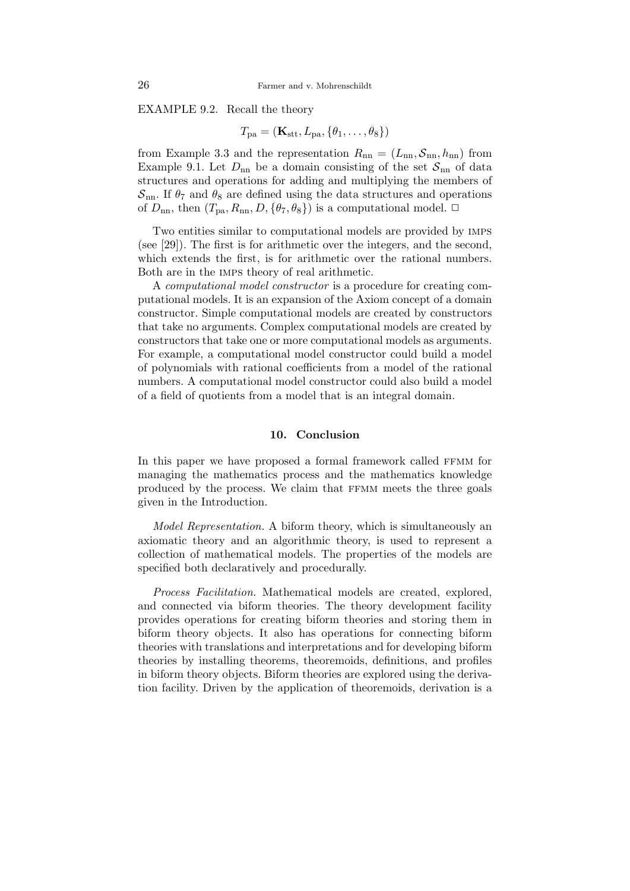EXAMPLE 9.2. Recall the theory

$$
T_{\text{pa}} = (\mathbf{K}_{\text{stt}}, L_{\text{pa}}, \{\theta_1, \dots, \theta_8\})
$$

from Example 3.3 and the representation  $R_{nn} = (L_{nn}, S_{nn}, h_{nn})$  from Example 9.1. Let  $D_{nn}$  be a domain consisting of the set  $S_{nn}$  of data structures and operations for adding and multiplying the members of  $\mathcal{S}_{nn}$ . If  $\theta_7$  and  $\theta_8$  are defined using the data structures and operations of  $D_{nn}$ , then  $(T_{pa}, R_{nn}, D, {\theta_7, \theta_8})$  is a computational model.  $\Box$ 

Two entities similar to computational models are provided by imps (see [29]). The first is for arithmetic over the integers, and the second, which extends the first, is for arithmetic over the rational numbers. Both are in the imps theory of real arithmetic.

A computational model constructor is a procedure for creating computational models. It is an expansion of the Axiom concept of a domain constructor. Simple computational models are created by constructors that take no arguments. Complex computational models are created by constructors that take one or more computational models as arguments. For example, a computational model constructor could build a model of polynomials with rational coefficients from a model of the rational numbers. A computational model constructor could also build a model of a field of quotients from a model that is an integral domain.

# 10. Conclusion

In this paper we have proposed a formal framework called FFMM for managing the mathematics process and the mathematics knowledge produced by the process. We claim that FFMM meets the three goals given in the Introduction.

Model Representation. A biform theory, which is simultaneously an axiomatic theory and an algorithmic theory, is used to represent a collection of mathematical models. The properties of the models are specified both declaratively and procedurally.

Process Facilitation. Mathematical models are created, explored, and connected via biform theories. The theory development facility provides operations for creating biform theories and storing them in biform theory objects. It also has operations for connecting biform theories with translations and interpretations and for developing biform theories by installing theorems, theoremoids, definitions, and profiles in biform theory objects. Biform theories are explored using the derivation facility. Driven by the application of theoremoids, derivation is a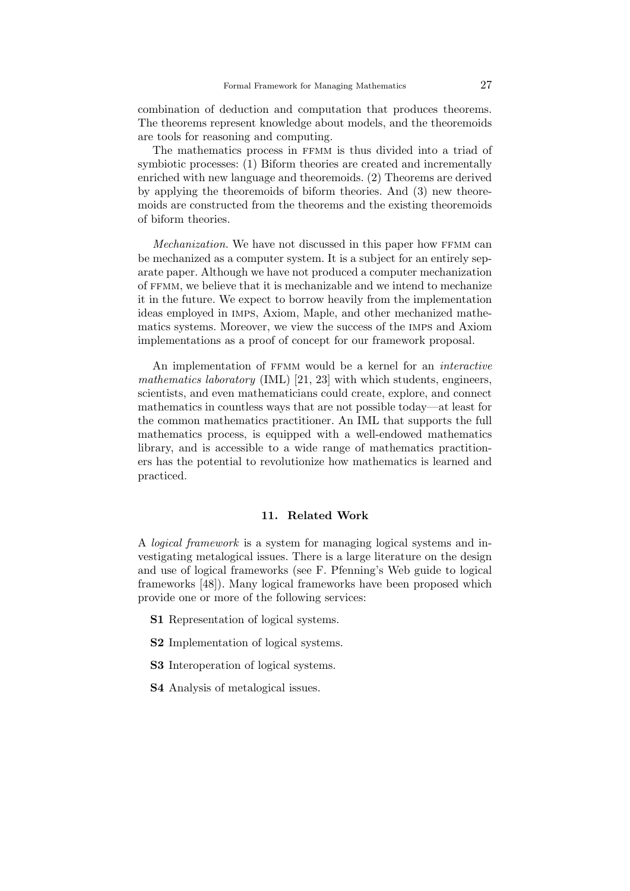combination of deduction and computation that produces theorems. The theorems represent knowledge about models, and the theoremoids are tools for reasoning and computing.

The mathematics process in FFMM is thus divided into a triad of symbiotic processes: (1) Biform theories are created and incrementally enriched with new language and theoremoids. (2) Theorems are derived by applying the theoremoids of biform theories. And (3) new theoremoids are constructed from the theorems and the existing theoremoids of biform theories.

Mechanization. We have not discussed in this paper how FFMM can be mechanized as a computer system. It is a subject for an entirely separate paper. Although we have not produced a computer mechanization of FFMM, we believe that it is mechanizable and we intend to mechanize it in the future. We expect to borrow heavily from the implementation ideas employed in imps, Axiom, Maple, and other mechanized mathematics systems. Moreover, we view the success of the imps and Axiom implementations as a proof of concept for our framework proposal.

An implementation of FFMM would be a kernel for an *interactive* mathematics laboratory (IML) [21, 23] with which students, engineers, scientists, and even mathematicians could create, explore, and connect mathematics in countless ways that are not possible today—at least for the common mathematics practitioner. An IML that supports the full mathematics process, is equipped with a well-endowed mathematics library, and is accessible to a wide range of mathematics practitioners has the potential to revolutionize how mathematics is learned and practiced.

### 11. Related Work

A logical framework is a system for managing logical systems and investigating metalogical issues. There is a large literature on the design and use of logical frameworks (see F. Pfenning's Web guide to logical frameworks [48]). Many logical frameworks have been proposed which provide one or more of the following services:

- S1 Representation of logical systems.
- S2 Implementation of logical systems.
- S3 Interoperation of logical systems.
- S4 Analysis of metalogical issues.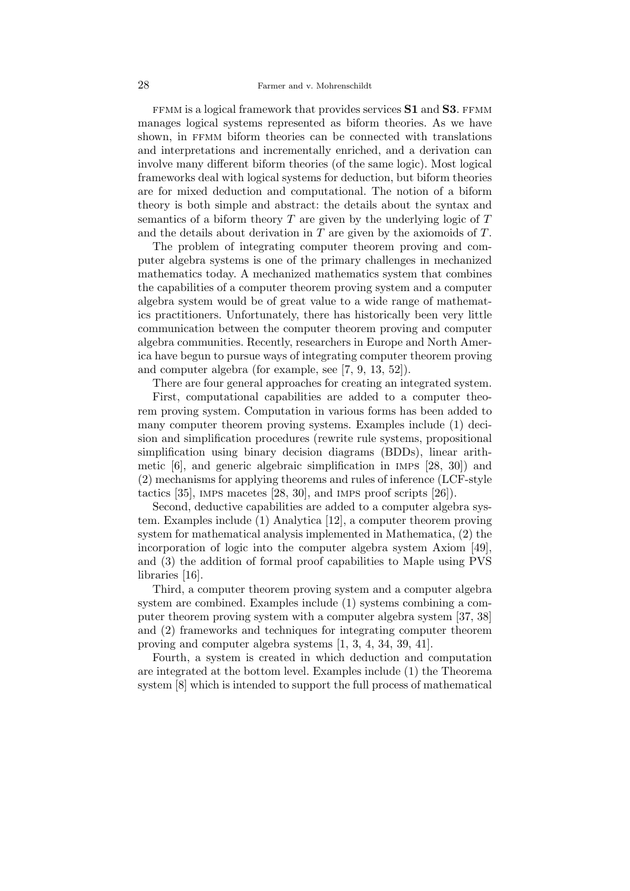FFMM is a logical framework that provides services S1 and S3. FFMM manages logical systems represented as biform theories. As we have shown, in FFMM biform theories can be connected with translations and interpretations and incrementally enriched, and a derivation can involve many different biform theories (of the same logic). Most logical frameworks deal with logical systems for deduction, but biform theories are for mixed deduction and computational. The notion of a biform theory is both simple and abstract: the details about the syntax and semantics of a biform theory  $T$  are given by the underlying logic of  $T$ and the details about derivation in  $T$  are given by the axiomoids of  $T$ .

The problem of integrating computer theorem proving and computer algebra systems is one of the primary challenges in mechanized mathematics today. A mechanized mathematics system that combines the capabilities of a computer theorem proving system and a computer algebra system would be of great value to a wide range of mathematics practitioners. Unfortunately, there has historically been very little communication between the computer theorem proving and computer algebra communities. Recently, researchers in Europe and North America have begun to pursue ways of integrating computer theorem proving and computer algebra (for example, see [7, 9, 13, 52]).

There are four general approaches for creating an integrated system. First, computational capabilities are added to a computer theorem proving system. Computation in various forms has been added to many computer theorem proving systems. Examples include (1) decision and simplification procedures (rewrite rule systems, propositional simplification using binary decision diagrams (BDDs), linear arithmetic [6], and generic algebraic simplification in imps [28, 30]) and (2) mechanisms for applying theorems and rules of inference (LCF-style tactics [35], imps macetes [28, 30], and imps proof scripts [26]).

Second, deductive capabilities are added to a computer algebra system. Examples include (1) Analytica [12], a computer theorem proving system for mathematical analysis implemented in Mathematica, (2) the incorporation of logic into the computer algebra system Axiom [49], and (3) the addition of formal proof capabilities to Maple using PVS libraries [16].

Third, a computer theorem proving system and a computer algebra system are combined. Examples include (1) systems combining a computer theorem proving system with a computer algebra system [37, 38] and (2) frameworks and techniques for integrating computer theorem proving and computer algebra systems [1, 3, 4, 34, 39, 41].

Fourth, a system is created in which deduction and computation are integrated at the bottom level. Examples include (1) the Theorema system [8] which is intended to support the full process of mathematical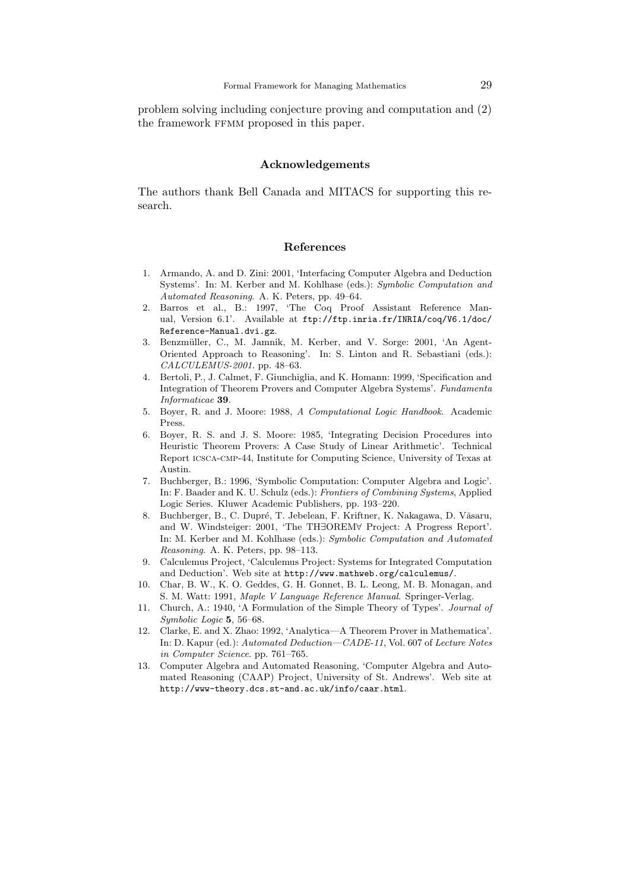problem solving including conjecture proving and computation and (2) the framework FFMM proposed in this paper.

#### Acknowledgements

The authors thank Bell Canada and MITACS for supporting this research.

#### References

- 1. Armando, A. and D. Zini: 2001, 'Interfacing Computer Algebra and Deduction Systems'. In: M. Kerber and M. Kohlhase (eds.): Symbolic Computation and Automated Reasoning. A. K. Peters, pp. 49–64.
- 2. Barros et al., B.: 1997, 'The Coq Proof Assistant Reference Manual, Version 6.1'. Available at ftp://ftp.inria.fr/INRIA/coq/V6.1/doc/ Reference-Manual.dvi.gz.
- 3. Benzmüller, C., M. Jamnik, M. Kerber, and V. Sorge: 2001, 'An Agent-Oriented Approach to Reasoning'. In: S. Linton and R. Sebastiani (eds.): CALCULEMUS-2001. pp. 48–63.
- 4. Bertoli, P., J. Calmet, F. Giunchiglia, and K. Homann: 1999, 'Specification and Integration of Theorem Provers and Computer Algebra Systems'. Fundamenta Informaticae 39.
- 5. Boyer, R. and J. Moore: 1988, A Computational Logic Handbook. Academic Press.
- 6. Boyer, R. S. and J. S. Moore: 1985, 'Integrating Decision Procedures into Heuristic Theorem Provers: A Case Study of Linear Arithmetic'. Technical Report icsca-cmp-44, Institute for Computing Science, University of Texas at Austin.
- 7. Buchberger, B.: 1996, 'Symbolic Computation: Computer Algebra and Logic'. In: F. Baader and K. U. Schulz (eds.): Frontiers of Combining Systems, Applied Logic Series. Kluwer Academic Publishers, pp. 193–220.
- 8. Buchberger, B., C. Dupré, T. Jebelean, F. Kriftner, K. Nakagawa, D. Vǎsaru, and W. Windsteiger: 2001, 'The TH∃OREM∀ Project: A Progress Report'. In: M. Kerber and M. Kohlhase (eds.): Symbolic Computation and Automated Reasoning. A. K. Peters, pp. 98–113.
- 9. Calculemus Project, 'Calculemus Project: Systems for Integrated Computation and Deduction'. Web site at http://www.mathweb.org/calculemus/.
- 10. Char, B. W., K. O. Geddes, G. H. Gonnet, B. L. Leong, M. B. Monagan, and S. M. Watt: 1991, Maple V Language Reference Manual. Springer-Verlag.
- 11. Church, A.: 1940, 'A Formulation of the Simple Theory of Types'. Journal of Symbolic Logic 5, 56–68.
- 12. Clarke, E. and X. Zhao: 1992, 'Analytica—A Theorem Prover in Mathematica'. In: D. Kapur (ed.): Automated Deduction—CADE-11, Vol. 607 of Lecture Notes in Computer Science. pp. 761–765.
- 13. Computer Algebra and Automated Reasoning, 'Computer Algebra and Automated Reasoning (CAAP) Project, University of St. Andrews'. Web site at http://www-theory.dcs.st-and.ac.uk/info/caar.html.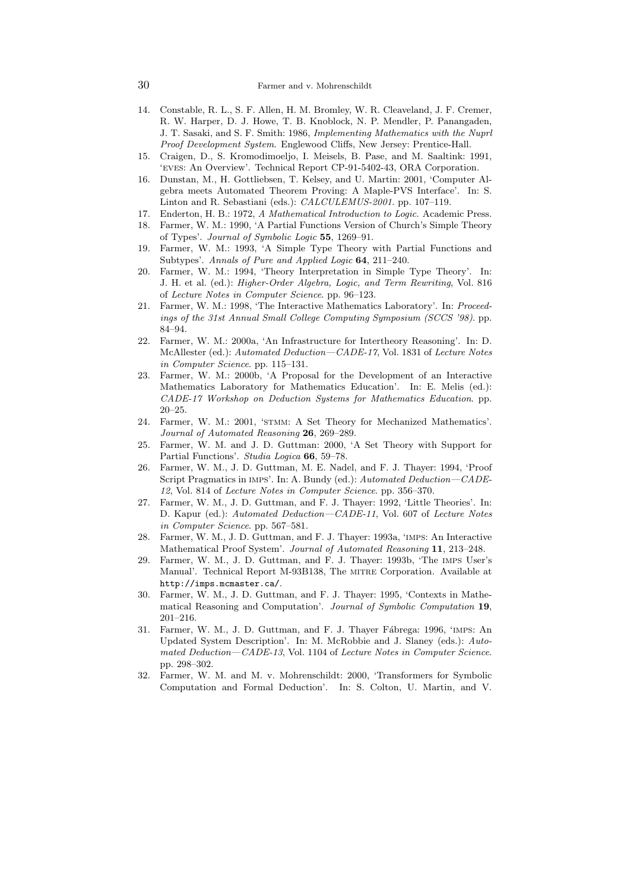#### 30 Farmer and v. Mohrenschildt

- 14. Constable, R. L., S. F. Allen, H. M. Bromley, W. R. Cleaveland, J. F. Cremer, R. W. Harper, D. J. Howe, T. B. Knoblock, N. P. Mendler, P. Panangaden, J. T. Sasaki, and S. F. Smith: 1986, Implementing Mathematics with the Nuprl Proof Development System. Englewood Cliffs, New Jersey: Prentice-Hall.
- 15. Craigen, D., S. Kromodimoeljo, I. Meisels, B. Pase, and M. Saaltink: 1991, 'eves: An Overview'. Technical Report CP-91-5402-43, ORA Corporation.
- 16. Dunstan, M., H. Gottliebsen, T. Kelsey, and U. Martin: 2001, 'Computer Algebra meets Automated Theorem Proving: A Maple-PVS Interface'. In: S. Linton and R. Sebastiani (eds.): CALCULEMUS-2001. pp. 107–119.
- 17. Enderton, H. B.: 1972, A Mathematical Introduction to Logic. Academic Press.
- 18. Farmer, W. M.: 1990, 'A Partial Functions Version of Church's Simple Theory of Types'. Journal of Symbolic Logic 55, 1269–91.
- 19. Farmer, W. M.: 1993, 'A Simple Type Theory with Partial Functions and Subtypes'. Annals of Pure and Applied Logic 64, 211–240.
- 20. Farmer, W. M.: 1994, 'Theory Interpretation in Simple Type Theory'. In: J. H. et al. (ed.): Higher-Order Algebra, Logic, and Term Rewriting, Vol. 816 of Lecture Notes in Computer Science. pp. 96–123.
- 21. Farmer, W. M.: 1998, 'The Interactive Mathematics Laboratory'. In: Proceedings of the 31st Annual Small College Computing Symposium (SCCS '98). pp. 84–94.
- 22. Farmer, W. M.: 2000a, 'An Infrastructure for Intertheory Reasoning'. In: D. McAllester (ed.): Automated Deduction—CADE-17, Vol. 1831 of Lecture Notes in Computer Science. pp. 115–131.
- 23. Farmer, W. M.: 2000b, 'A Proposal for the Development of an Interactive Mathematics Laboratory for Mathematics Education'. In: E. Melis (ed.): CADE-17 Workshop on Deduction Systems for Mathematics Education. pp. 20–25.
- 24. Farmer, W. M.: 2001, 'stmm: A Set Theory for Mechanized Mathematics'. Journal of Automated Reasoning 26, 269–289.
- 25. Farmer, W. M. and J. D. Guttman: 2000, 'A Set Theory with Support for Partial Functions'. Studia Logica 66, 59–78.
- 26. Farmer, W. M., J. D. Guttman, M. E. Nadel, and F. J. Thayer: 1994, 'Proof Script Pragmatics in imps'. In: A. Bundy (ed.): Automated Deduction—CADE-12, Vol. 814 of Lecture Notes in Computer Science. pp. 356–370.
- 27. Farmer, W. M., J. D. Guttman, and F. J. Thayer: 1992, 'Little Theories'. In: D. Kapur (ed.): Automated Deduction—CADE-11, Vol. 607 of Lecture Notes in Computer Science. pp. 567–581.
- 28. Farmer, W. M., J. D. Guttman, and F. J. Thayer: 1993a, 'imps: An Interactive Mathematical Proof System'. Journal of Automated Reasoning 11, 213–248.
- 29. Farmer, W. M., J. D. Guttman, and F. J. Thayer: 1993b, 'The imps User's Manual'. Technical Report M-93B138, The mitre Corporation. Available at http://imps.mcmaster.ca/.
- 30. Farmer, W. M., J. D. Guttman, and F. J. Thayer: 1995, 'Contexts in Mathematical Reasoning and Computation'. Journal of Symbolic Computation 19, 201–216.
- 31. Farmer, W. M., J. D. Guttman, and F. J. Thayer Fábrega: 1996, 'IMPS: An Updated System Description'. In: M. McRobbie and J. Slaney (eds.): Automated Deduction—CADE-13, Vol. 1104 of Lecture Notes in Computer Science. pp. 298–302.
- 32. Farmer, W. M. and M. v. Mohrenschildt: 2000, 'Transformers for Symbolic Computation and Formal Deduction'. In: S. Colton, U. Martin, and V.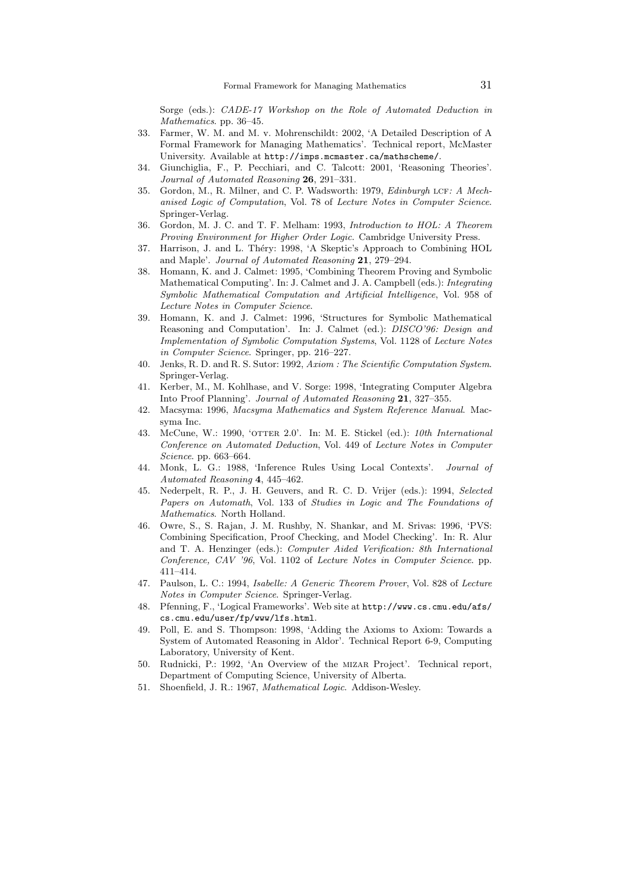Sorge (eds.): CADE-17 Workshop on the Role of Automated Deduction in Mathematics. pp. 36–45.

- 33. Farmer, W. M. and M. v. Mohrenschildt: 2002, 'A Detailed Description of A Formal Framework for Managing Mathematics'. Technical report, McMaster University. Available at http://imps.mcmaster.ca/mathscheme/.
- 34. Giunchiglia, F., P. Pecchiari, and C. Talcott: 2001, 'Reasoning Theories'. Journal of Automated Reasoning 26, 291–331.
- 35. Gordon, M., R. Milner, and C. P. Wadsworth: 1979, Edinburgh LCF: A Mechanised Logic of Computation, Vol. 78 of Lecture Notes in Computer Science. Springer-Verlag.
- 36. Gordon, M. J. C. and T. F. Melham: 1993, Introduction to HOL: A Theorem Proving Environment for Higher Order Logic. Cambridge University Press.
- 37. Harrison, J. and L. Théry: 1998, 'A Skeptic's Approach to Combining HOL and Maple'. Journal of Automated Reasoning 21, 279–294.
- 38. Homann, K. and J. Calmet: 1995, 'Combining Theorem Proving and Symbolic Mathematical Computing'. In: J. Calmet and J. A. Campbell (eds.): Integrating Symbolic Mathematical Computation and Artificial Intelligence, Vol. 958 of Lecture Notes in Computer Science.
- 39. Homann, K. and J. Calmet: 1996, 'Structures for Symbolic Mathematical Reasoning and Computation'. In: J. Calmet (ed.): DISCO'96: Design and Implementation of Symbolic Computation Systems, Vol. 1128 of Lecture Notes in Computer Science. Springer, pp. 216–227.
- 40. Jenks, R. D. and R. S. Sutor: 1992, Axiom : The Scientific Computation System. Springer-Verlag.
- 41. Kerber, M., M. Kohlhase, and V. Sorge: 1998, 'Integrating Computer Algebra Into Proof Planning'. Journal of Automated Reasoning 21, 327–355.
- 42. Macsyma: 1996, Macsyma Mathematics and System Reference Manual. Macsyma Inc.
- 43. McCune, W.: 1990, 'otter 2.0'. In: M. E. Stickel (ed.): 10th International Conference on Automated Deduction, Vol. 449 of Lecture Notes in Computer Science. pp. 663–664.
- 44. Monk, L. G.: 1988, 'Inference Rules Using Local Contexts'. Journal of Automated Reasoning 4, 445–462.
- 45. Nederpelt, R. P., J. H. Geuvers, and R. C. D. Vrijer (eds.): 1994, Selected Papers on Automath, Vol. 133 of Studies in Logic and The Foundations of Mathematics. North Holland.
- 46. Owre, S., S. Rajan, J. M. Rushby, N. Shankar, and M. Srivas: 1996, 'PVS: Combining Specification, Proof Checking, and Model Checking'. In: R. Alur and T. A. Henzinger (eds.): Computer Aided Verification: 8th International Conference, CAV '96, Vol. 1102 of Lecture Notes in Computer Science. pp. 411–414.
- 47. Paulson, L. C.: 1994, Isabelle: A Generic Theorem Prover, Vol. 828 of Lecture Notes in Computer Science. Springer-Verlag.
- 48. Pfenning, F., 'Logical Frameworks'. Web site at http://www.cs.cmu.edu/afs/ cs.cmu.edu/user/fp/www/lfs.html.
- 49. Poll, E. and S. Thompson: 1998, 'Adding the Axioms to Axiom: Towards a System of Automated Reasoning in Aldor'. Technical Report 6-9, Computing Laboratory, University of Kent.
- 50. Rudnicki, P.: 1992, 'An Overview of the mizar Project'. Technical report, Department of Computing Science, University of Alberta.
- 51. Shoenfield, J. R.: 1967, Mathematical Logic. Addison-Wesley.